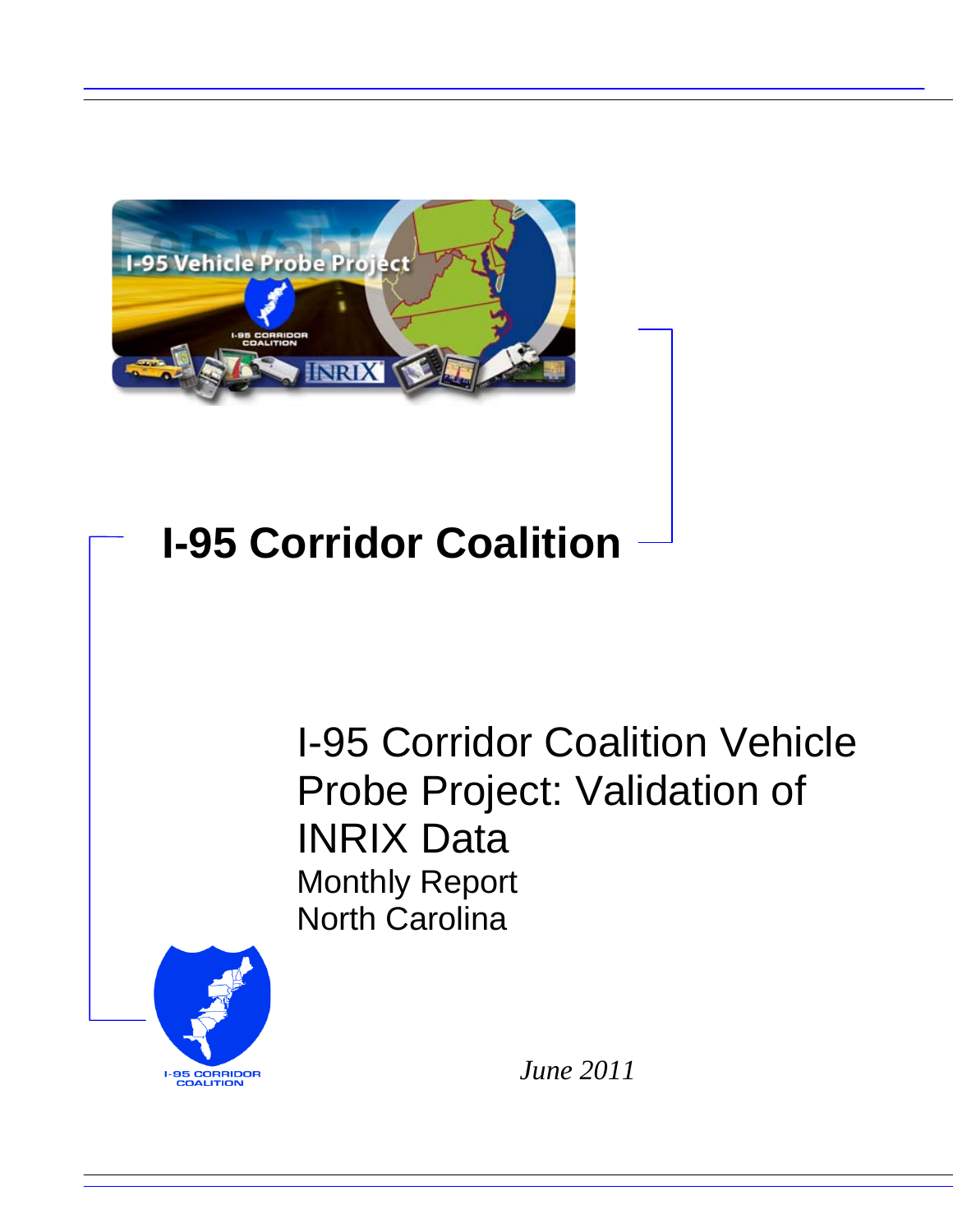

# **I-95 Corridor Coalition**

I-95 Corridor Coalition Vehicle Probe Project: Validation of INRIX Data Monthly Report North Carolina



*June 2011*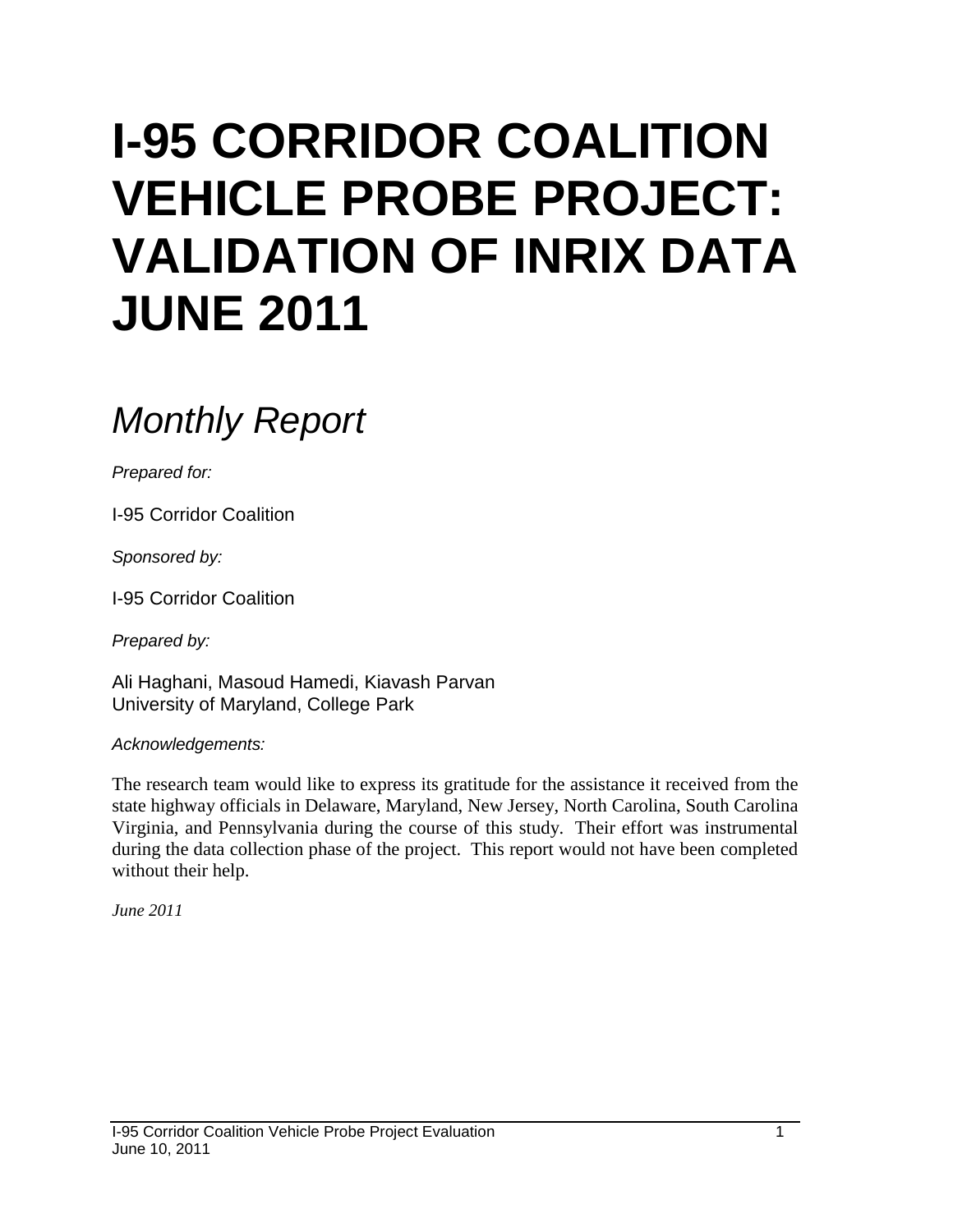# **I-95 CORRIDOR COALITION VEHICLE PROBE PROJECT: VALIDATION OF INRIX DATA JUNE 2011**

# *Monthly Report*

*Prepared for:*

I-95 Corridor Coalition

*Sponsored by:*

I-95 Corridor Coalition

*Prepared by:*

Ali Haghani, Masoud Hamedi, Kiavash Parvan University of Maryland, College Park

*Acknowledgements:*

The research team would like to express its gratitude for the assistance it received from the state highway officials in Delaware, Maryland, New Jersey, North Carolina, South Carolina Virginia, and Pennsylvania during the course of this study. Their effort was instrumental during the data collection phase of the project. This report would not have been completed without their help.

*June 2011*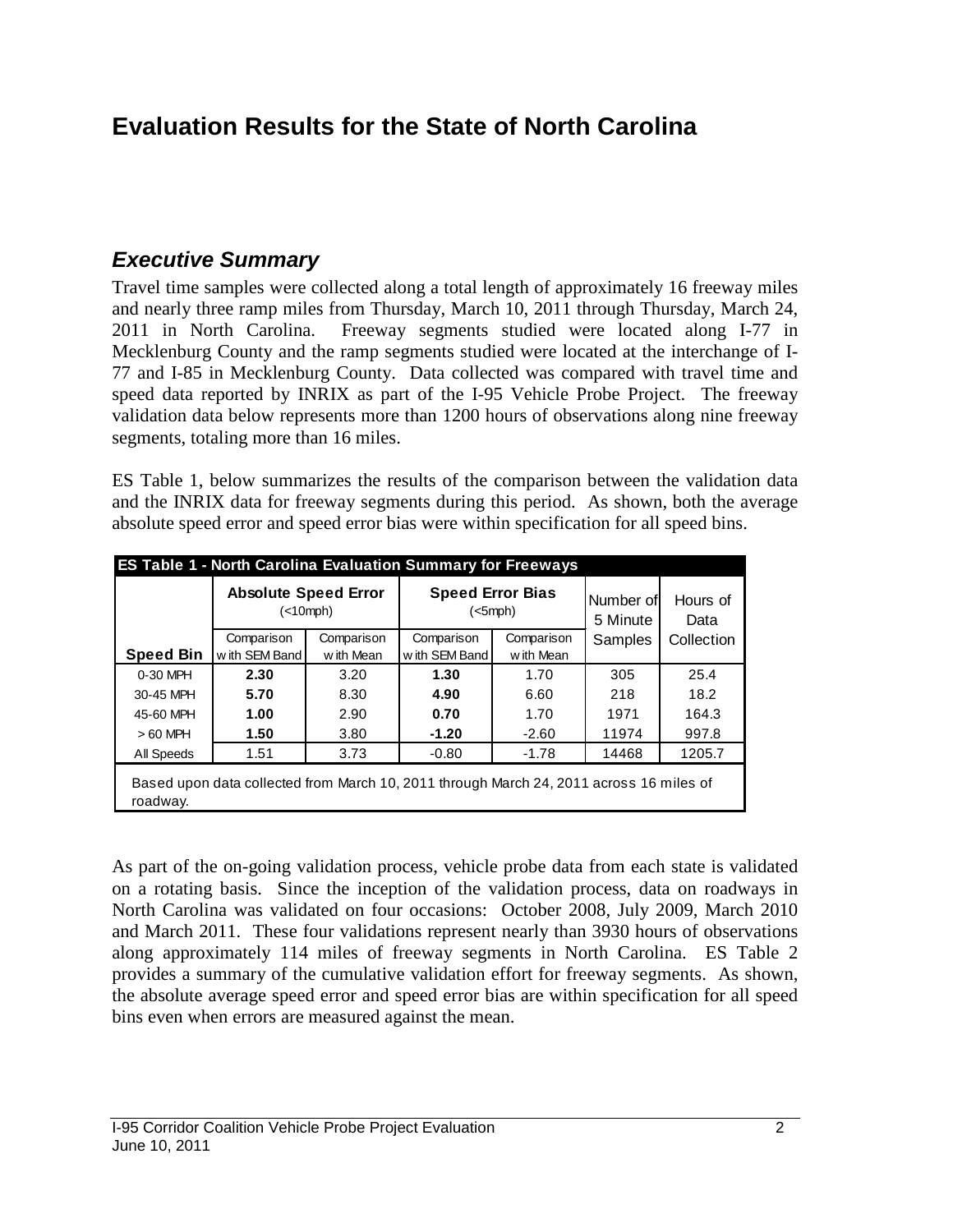# **Evaluation Results for the State of North Carolina**

### *Executive Summary*

Travel time samples were collected along a total length of approximately 16 freeway miles and nearly three ramp miles from Thursday, March 10, 2011 through Thursday, March 24, 2011 in North Carolina. Freeway segments studied were located along I-77 in Mecklenburg County and the ramp segments studied were located at the interchange of I-77 and I-85 in Mecklenburg County. Data collected was compared with travel time and speed data reported by INRIX as part of the I-95 Vehicle Probe Project. The freeway validation data below represents more than 1200 hours of observations along nine freeway segments, totaling more than 16 miles.

ES Table 1, below summarizes the results of the comparison between the validation data and the INRIX data for freeway segments during this period. As shown, both the average absolute speed error and speed error bias were within specification for all speed bins.

|                  | <b>ES Table 1 - North Carolina Evaluation Summary for Freeways</b><br><b>Absolute Speed Error</b><br>(<10 mph) |            |               | <b>Speed Error Bias</b><br>$(<5$ mph $)$ | Number of<br>5 Minute | Hours of<br>Data |
|------------------|----------------------------------------------------------------------------------------------------------------|------------|---------------|------------------------------------------|-----------------------|------------------|
|                  | Comparison                                                                                                     | Comparison | Comparison    | Comparison                               | Samples               | Collection       |
| <b>Speed Bin</b> | with SEM Band                                                                                                  | w ith Mean | with SEM Band | w ith Mean                               |                       |                  |
| 0-30 MPH         | 2.30                                                                                                           | 3.20       | 1.30          | 1.70                                     | 305                   | 25.4             |
| 30-45 MPH        | 5.70                                                                                                           | 8.30       | 4.90          | 6.60                                     | 218                   | 18.2             |
| 45-60 MPH        | 1.00                                                                                                           | 2.90       | 0.70          | 1.70                                     | 1971                  | 164.3            |
| $>60$ MPH        | 1.50                                                                                                           | 3.80       | $-1.20$       | $-2.60$                                  | 11974                 | 997.8            |
| All Speeds       | 1.51                                                                                                           | 3.73       | $-0.80$       | $-1.78$                                  | 14468                 | 1205.7           |
| roadway.         | Based upon data collected from March 10, 2011 through March 24, 2011 across 16 miles of                        |            |               |                                          |                       |                  |

As part of the on-going validation process, vehicle probe data from each state is validated on a rotating basis. Since the inception of the validation process, data on roadways in North Carolina was validated on four occasions: October 2008, July 2009, March 2010 and March 2011. These four validations represent nearly than 3930 hours of observations along approximately 114 miles of freeway segments in North Carolina. ES Table 2 provides a summary of the cumulative validation effort for freeway segments. As shown, the absolute average speed error and speed error bias are within specification for all speed bins even when errors are measured against the mean.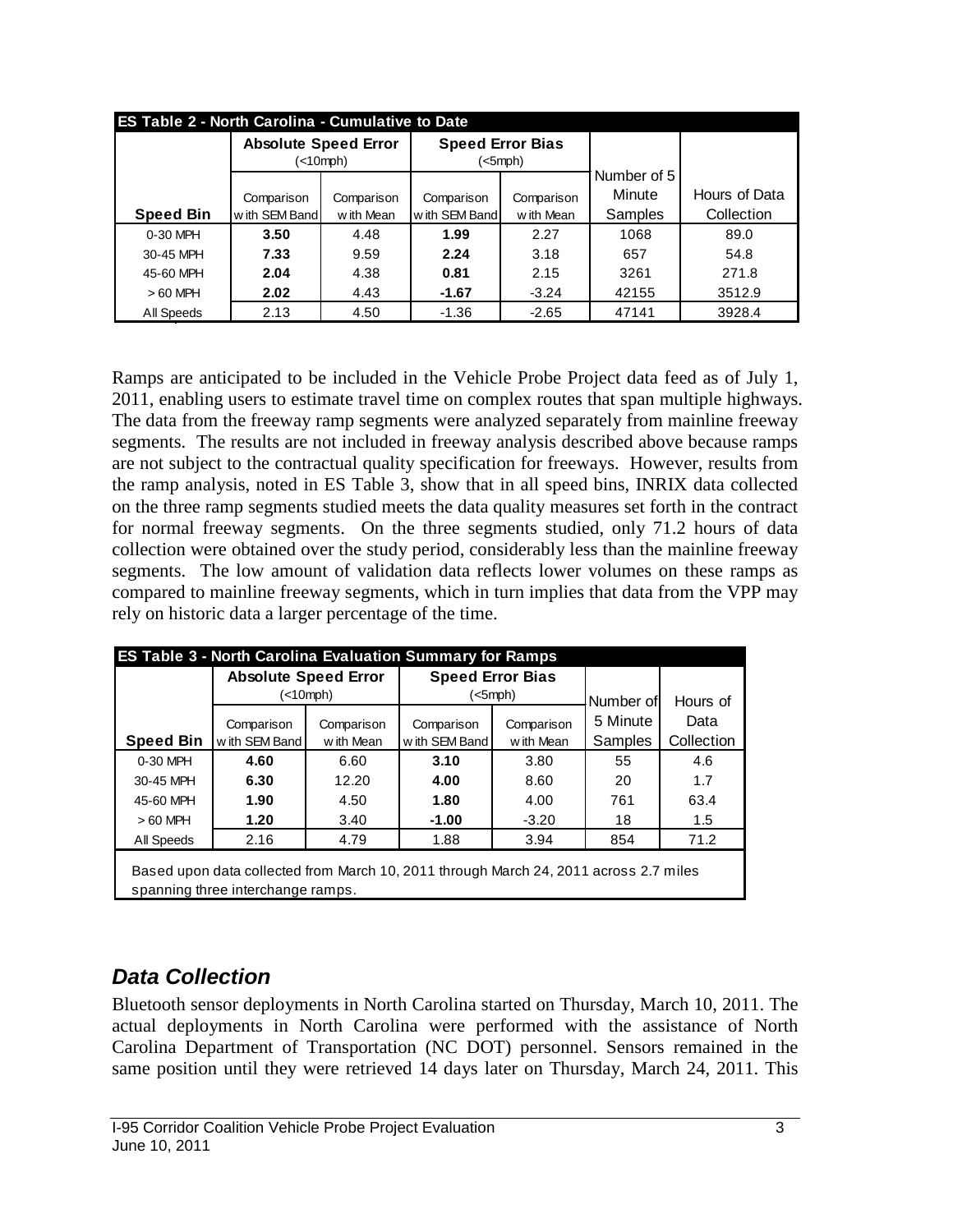|                  | <b>ES Table 2 - North Carolina - Cumulative to Date</b> |            |                         |            |                       |               |  |  |  |  |  |  |  |
|------------------|---------------------------------------------------------|------------|-------------------------|------------|-----------------------|---------------|--|--|--|--|--|--|--|
|                  | <b>Absolute Speed Error</b>                             | (<10mph)   | <b>Speed Error Bias</b> | (<5mph)    |                       |               |  |  |  |  |  |  |  |
|                  |                                                         |            |                         |            | Number of 5<br>Minute | Hours of Data |  |  |  |  |  |  |  |
|                  | Comparison                                              | Comparison | Comparison              | Comparison |                       |               |  |  |  |  |  |  |  |
| <b>Speed Bin</b> | with SEM Band                                           | w ith Mean | with SEM Band           | w ith Mean | Samples               | Collection    |  |  |  |  |  |  |  |
| $0-30$ MPH       | 3.50                                                    | 4.48       | 1.99                    | 2.27       | 1068                  | 89.0          |  |  |  |  |  |  |  |
| 30-45 MPH        | 7.33                                                    | 9.59       | 2.24                    | 3.18       | 657                   | 54.8          |  |  |  |  |  |  |  |
| 45-60 MPH        | 2.04                                                    | 4.38       | 0.81                    | 2.15       | 3261                  | 271.8         |  |  |  |  |  |  |  |
| $>60$ MPH        | 2.02                                                    | 4.43       | $-1.67$                 | $-3.24$    | 42155                 | 3512.9        |  |  |  |  |  |  |  |
| All Speeds       | 2.13                                                    | 4.50       | $-1.36$                 | $-2.65$    | 47141                 | 3928.4        |  |  |  |  |  |  |  |

Ramps are anticipated to be included in the Vehicle Probe Project data feed as of July 1, 2011, enabling users to estimate travel time on complex routes that span multiple highways. The data from the freeway ramp segments were analyzed separately from mainline freeway segments. The results are not included in freeway analysis described above because ramps are not subject to the contractual quality specification for freeways. However, results from the ramp analysis, noted in ES Table 3, show that in all speed bins, INRIX data collected on the three ramp segments studied meets the data quality measures set forth in the contract for normal freeway segments. On the three segments studied, only 71.2 hours of data collection were obtained over the study period, considerably less than the mainline freeway segments. The low amount of validation data reflects lower volumes on these ramps as compared to mainline freeway segments, which in turn implies that data from the VPP may rely on historic data a larger percentage of the time.

|                  | <b>Absolute Speed Error</b>                                                                                                |            | <b>Speed Error Bias</b> |            |           |            |
|------------------|----------------------------------------------------------------------------------------------------------------------------|------------|-------------------------|------------|-----------|------------|
|                  | (<10 mph)                                                                                                                  |            | $(<5$ mph $)$           |            | Number of | Hours of   |
|                  | Comparison                                                                                                                 | Comparison | Comparison              | Comparison |           | Data       |
| <b>Speed Bin</b> | with SEM Band<br>w ith Mean                                                                                                |            | w ith SEM Band          | w ith Mean | Samples   | Collection |
| 0-30 MPH         | 4.60                                                                                                                       | 6.60       | 3.10                    | 3.80       | 55        | 4.6        |
| 30-45 MPH        | 6.30                                                                                                                       | 12.20      | 4.00                    | 8.60       | 20        | 1.7        |
| 45-60 MPH        | 1.90                                                                                                                       | 4.50       | 1.80                    | 4.00       | 761       | 63.4       |
| $>60$ MPH        | 1.20                                                                                                                       | 3.40       | $-1.00$                 | $-3.20$    | 18        | 1.5        |
| All Speeds       | 2.16                                                                                                                       | 4.79       | 1.88                    | 3.94       | 854       | 71.2       |
|                  | Based upon data collected from March 10, 2011 through March 24, 2011 across 2.7 miles<br>spanning three interchange ramps. |            |                         |            |           |            |

## *Data Collection*

Bluetooth sensor deployments in North Carolina started on Thursday, March 10, 2011. The actual deployments in North Carolina were performed with the assistance of North Carolina Department of Transportation (NC DOT) personnel. Sensors remained in the same position until they were retrieved 14 days later on Thursday, March 24, 2011. This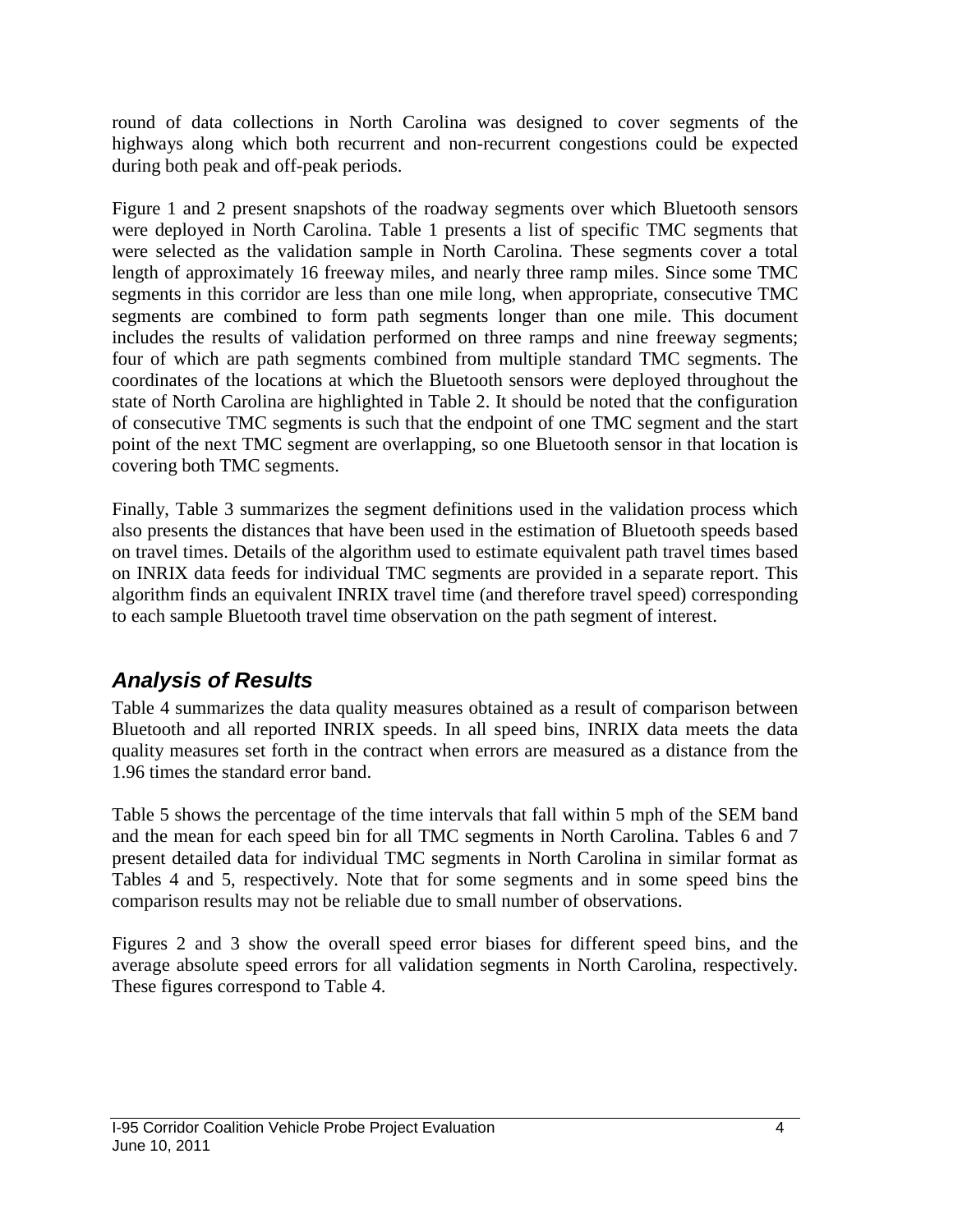round of data collections in North Carolina was designed to cover segments of the highways along which both recurrent and non-recurrent congestions could be expected during both peak and off-peak periods.

Figure 1 and 2 present snapshots of the roadway segments over which Bluetooth sensors were deployed in North Carolina. Table 1 presents a list of specific TMC segments that were selected as the validation sample in North Carolina. These segments cover a total length of approximately 16 freeway miles, and nearly three ramp miles. Since some TMC segments in this corridor are less than one mile long, when appropriate, consecutive TMC segments are combined to form path segments longer than one mile. This document includes the results of validation performed on three ramps and nine freeway segments; four of which are path segments combined from multiple standard TMC segments. The coordinates of the locations at which the Bluetooth sensors were deployed throughout the state of North Carolina are highlighted in Table 2. It should be noted that the configuration of consecutive TMC segments is such that the endpoint of one TMC segment and the start point of the next TMC segment are overlapping, so one Bluetooth sensor in that location is covering both TMC segments.

Finally, Table 3 summarizes the segment definitions used in the validation process which also presents the distances that have been used in the estimation of Bluetooth speeds based on travel times. Details of the algorithm used to estimate equivalent path travel times based on INRIX data feeds for individual TMC segments are provided in a separate report. This algorithm finds an equivalent INRIX travel time (and therefore travel speed) corresponding to each sample Bluetooth travel time observation on the path segment of interest.

## *Analysis of Results*

Table 4 summarizes the data quality measures obtained as a result of comparison between Bluetooth and all reported INRIX speeds. In all speed bins, INRIX data meets the data quality measures set forth in the contract when errors are measured as a distance from the 1.96 times the standard error band.

Table 5 shows the percentage of the time intervals that fall within 5 mph of the SEM band and the mean for each speed bin for all TMC segments in North Carolina. Tables 6 and 7 present detailed data for individual TMC segments in North Carolina in similar format as Tables 4 and 5, respectively. Note that for some segments and in some speed bins the comparison results may not be reliable due to small number of observations.

Figures 2 and 3 show the overall speed error biases for different speed bins, and the average absolute speed errors for all validation segments in North Carolina, respectively. These figures correspond to Table 4.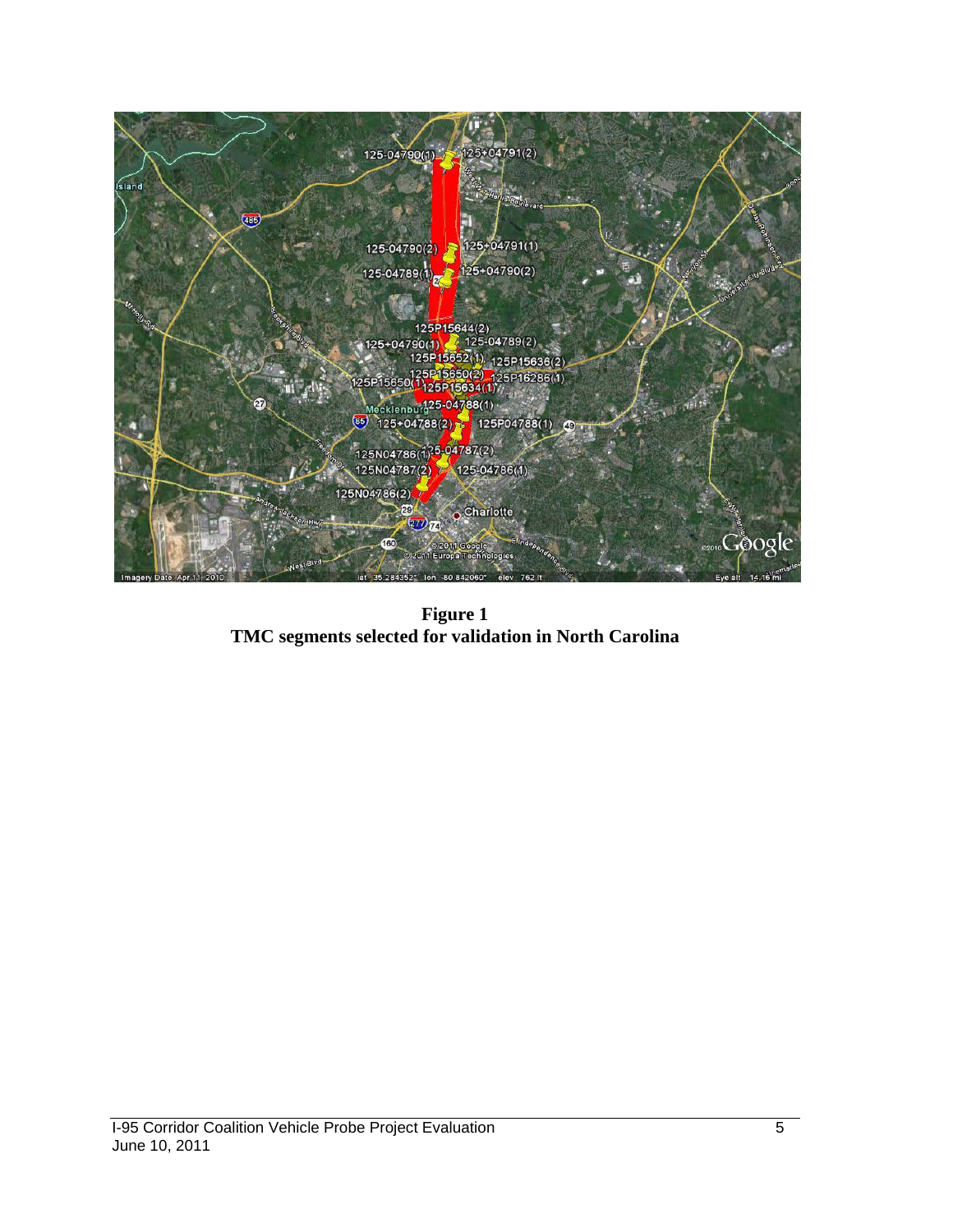

**Figure 1 TMC segments selected for validation in North Carolina**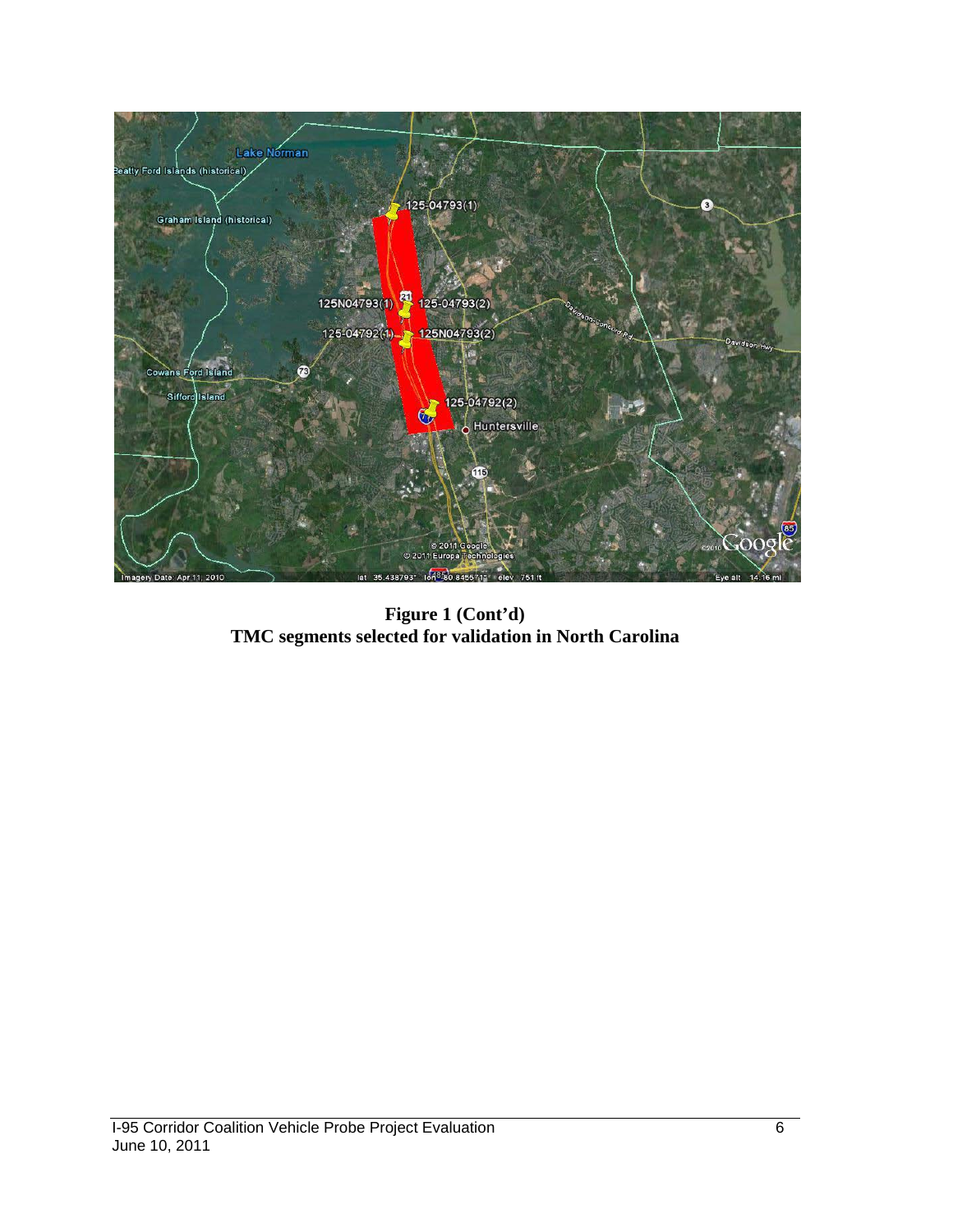

**Figure 1 (Cont'd) TMC segments selected for validation in North Carolina**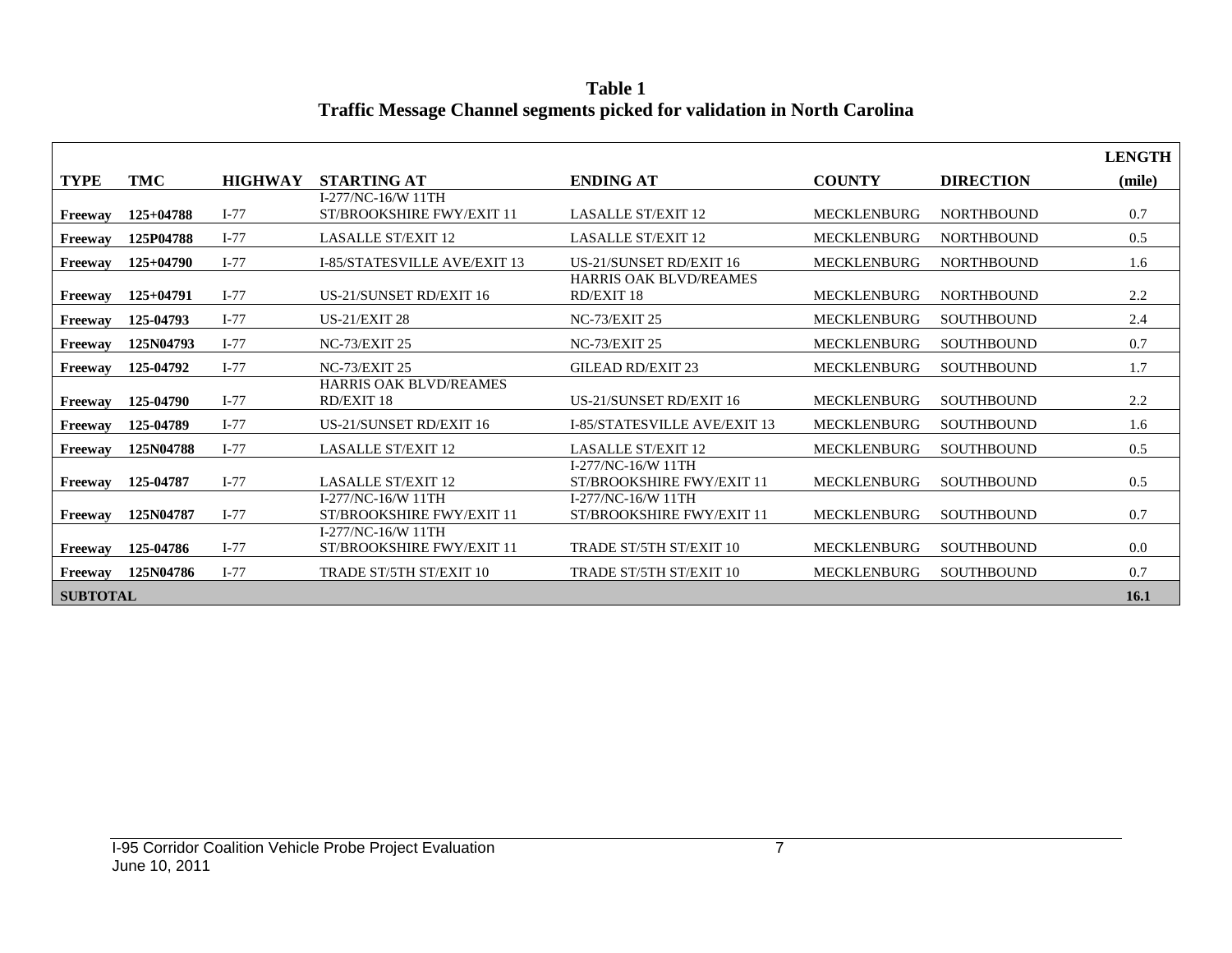**Table 1 Traffic Message Channel segments picked for validation in North Carolina**

|                 |             |                |                                                 |                                                 |                    |                   | <b>LENGTH</b> |
|-----------------|-------------|----------------|-------------------------------------------------|-------------------------------------------------|--------------------|-------------------|---------------|
| <b>TYPE</b>     | TMC         | <b>HIGHWAY</b> | <b>STARTING AT</b>                              | <b>ENDING AT</b>                                | <b>COUNTY</b>      | <b>DIRECTION</b>  | (mile)        |
| Freeway         | $125+04788$ | $I-77$         | I-277/NC-16/W 11TH<br>ST/BROOKSHIRE FWY/EXIT 11 | <b>LASALLE ST/EXIT 12</b>                       | <b>MECKLENBURG</b> | <b>NORTHBOUND</b> | 0.7           |
| Freeway         | 125P04788   | $I-77$         | <b>LASALLE ST/EXIT 12</b>                       | <b>LASALLE ST/EXIT 12</b>                       | <b>MECKLENBURG</b> | <b>NORTHBOUND</b> | 0.5           |
| Freeway         | $125+04790$ | $I-77$         | <b>I-85/STATESVILLE AVE/EXIT 13</b>             | <b>US-21/SUNSET RD/EXIT 16</b>                  | <b>MECKLENBURG</b> | <b>NORTHBOUND</b> | 1.6           |
| Freeway         | $125+04791$ | $I-77$         | US-21/SUNSET RD/EXIT 16                         | <b>HARRIS OAK BLVD/REAMES</b><br>RD/EXIT 18     | <b>MECKLENBURG</b> | <b>NORTHBOUND</b> | 2.2           |
| Freeway         | 125-04793   | $I-77$         | <b>US-21/EXIT 28</b>                            | <b>NC-73/EXIT 25</b>                            | <b>MECKLENBURG</b> | <b>SOUTHBOUND</b> | 2.4           |
| Freeway         | 125N04793   | $I-77$         | <b>NC-73/EXIT 25</b>                            | <b>NC-73/EXIT 25</b>                            | <b>MECKLENBURG</b> | <b>SOUTHBOUND</b> | 0.7           |
| Freeway         | 125-04792   | $I-77$         | <b>NC-73/EXIT 25</b>                            | GILEAD RD/EXIT 23                               | <b>MECKLENBURG</b> | <b>SOUTHBOUND</b> | 1.7           |
| Freeway         | 125-04790   | $I-77$         | <b>HARRIS OAK BLVD/REAMES</b><br>RD/EXIT 18     | US-21/SUNSET RD/EXIT 16                         | <b>MECKLENBURG</b> | <b>SOUTHBOUND</b> | 2.2           |
| Freeway         | 125-04789   | $I-77$         | <b>US-21/SUNSET RD/EXIT 16</b>                  | I-85/STATESVILLE AVE/EXIT 13                    | <b>MECKLENBURG</b> | <b>SOUTHBOUND</b> | 1.6           |
| Freeway         | 125N04788   | $I-77$         | <b>LASALLE ST/EXIT 12</b>                       | <b>LASALLE ST/EXIT 12</b>                       | <b>MECKLENBURG</b> | <b>SOUTHBOUND</b> | 0.5           |
| Freeway         | 125-04787   | $I-77$         | <b>LASALLE ST/EXIT 12</b>                       | I-277/NC-16/W 11TH<br>ST/BROOKSHIRE FWY/EXIT 11 | <b>MECKLENBURG</b> | <b>SOUTHBOUND</b> | 0.5           |
| Freeway         | 125N04787   | $I-77$         | I-277/NC-16/W 11TH<br>ST/BROOKSHIRE FWY/EXIT 11 | I-277/NC-16/W 11TH<br>ST/BROOKSHIRE FWY/EXIT 11 | <b>MECKLENBURG</b> | <b>SOUTHBOUND</b> | 0.7           |
| Freeway         | 125-04786   | $I-77$         | I-277/NC-16/W 11TH<br>ST/BROOKSHIRE FWY/EXIT 11 | TRADE ST/5TH ST/EXIT 10                         | <b>MECKLENBURG</b> | <b>SOUTHBOUND</b> | 0.0           |
| Freeway         | 125N04786   | $I-77$         | <b>TRADE ST/5TH ST/EXIT 10</b>                  | <b>TRADE ST/5TH ST/EXIT 10</b>                  | <b>MECKLENBURG</b> | <b>SOUTHBOUND</b> | 0.7           |
| <b>SUBTOTAL</b> |             |                |                                                 |                                                 |                    |                   | 16.1          |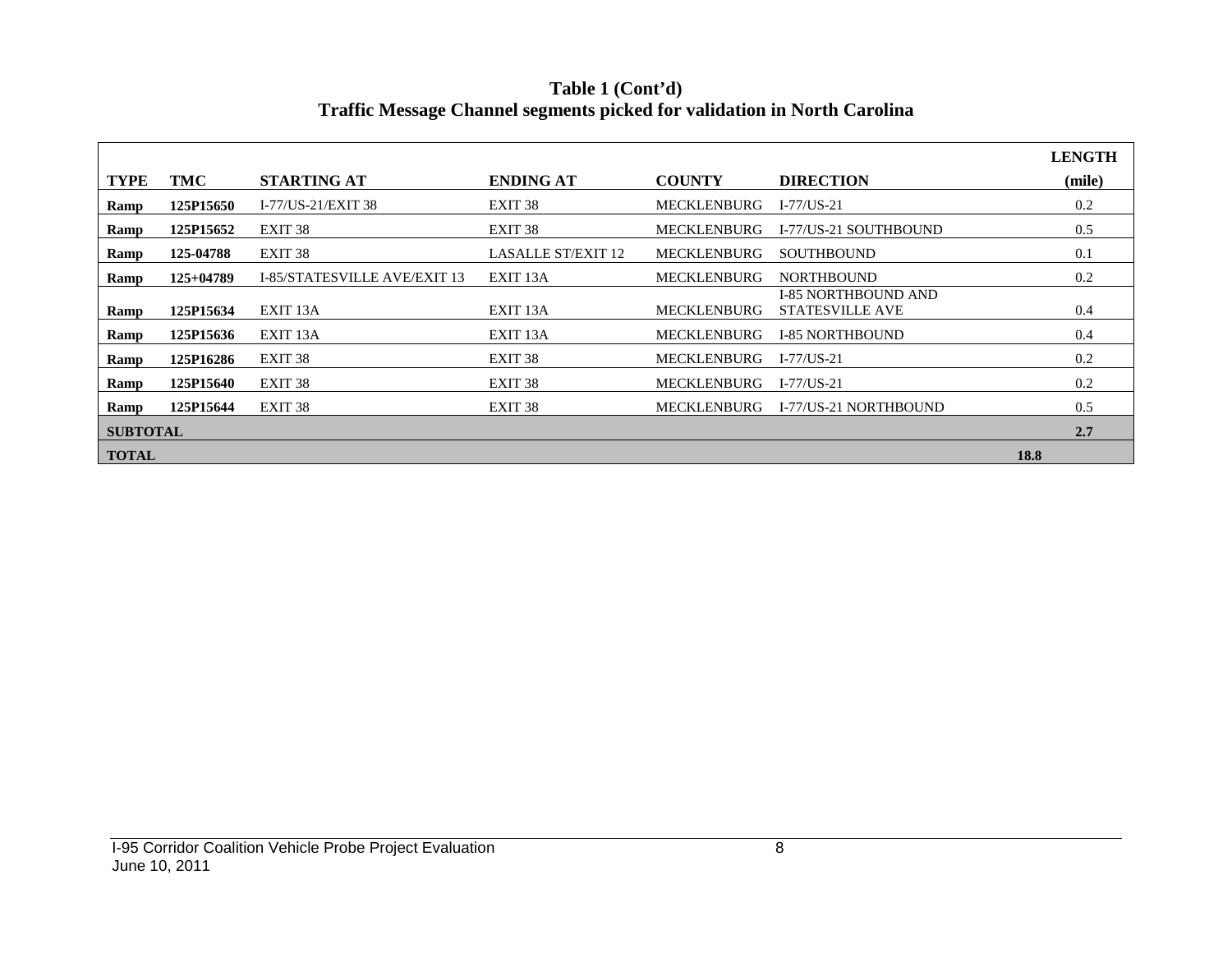**Table 1 (Cont'd) Traffic Message Channel segments picked for validation in North Carolina**

|                 |             |                              |                           |                    |                                                      | <b>LENGTH</b> |
|-----------------|-------------|------------------------------|---------------------------|--------------------|------------------------------------------------------|---------------|
| <b>TYPE</b>     | TMC         | <b>STARTING AT</b>           | <b>ENDING AT</b>          | <b>COUNTY</b>      | <b>DIRECTION</b>                                     | (mile)        |
| Ramp            | 125P15650   | I-77/US-21/EXIT 38           | EXIT <sub>38</sub>        | <b>MECKLENBURG</b> | $I - 77/US - 21$                                     | 0.2           |
| Ramp            | 125P15652   | EXIT <sub>38</sub>           | EXIT <sub>38</sub>        | <b>MECKLENBURG</b> | I-77/US-21 SOUTHBOUND                                | 0.5           |
| Ramp            | 125-04788   | EXIT 38                      | <b>LASALLE ST/EXIT 12</b> | <b>MECKLENBURG</b> | <b>SOUTHBOUND</b>                                    | 0.1           |
| Ramp            | $125+04789$ | I-85/STATESVILLE AVE/EXIT 13 | EXIT 13A                  | <b>MECKLENBURG</b> | <b>NORTHBOUND</b>                                    | 0.2           |
| Ramp            | 125P15634   | EXIT 13A                     | EXIT <sub>13</sub> A      | <b>MECKLENBURG</b> | <b>I-85 NORTHBOUND AND</b><br><b>STATESVILLE AVE</b> | 0.4           |
| Ramp            | 125P15636   | EXIT <sub>13</sub> A         | EXIT <sub>13</sub> A      | <b>MECKLENBURG</b> | <b>I-85 NORTHBOUND</b>                               | 0.4           |
| Ramp            | 125P16286   | EXIT 38                      | EXIT <sub>38</sub>        | <b>MECKLENBURG</b> | $I - 77/US - 21$                                     | 0.2           |
| Ramp            | 125P15640   | EXIT <sub>38</sub>           | EXIT <sub>38</sub>        | <b>MECKLENBURG</b> | $I-77/US-21$                                         | 0.2           |
| Ramp            | 125P15644   | EXIT <sub>38</sub>           | EXIT <sub>38</sub>        | <b>MECKLENBURG</b> | I-77/US-21 NORTHBOUND                                | 0.5           |
| <b>SUBTOTAL</b> |             |                              |                           |                    |                                                      | 2.7           |
| <b>TOTAL</b>    |             |                              |                           |                    |                                                      | 18.8          |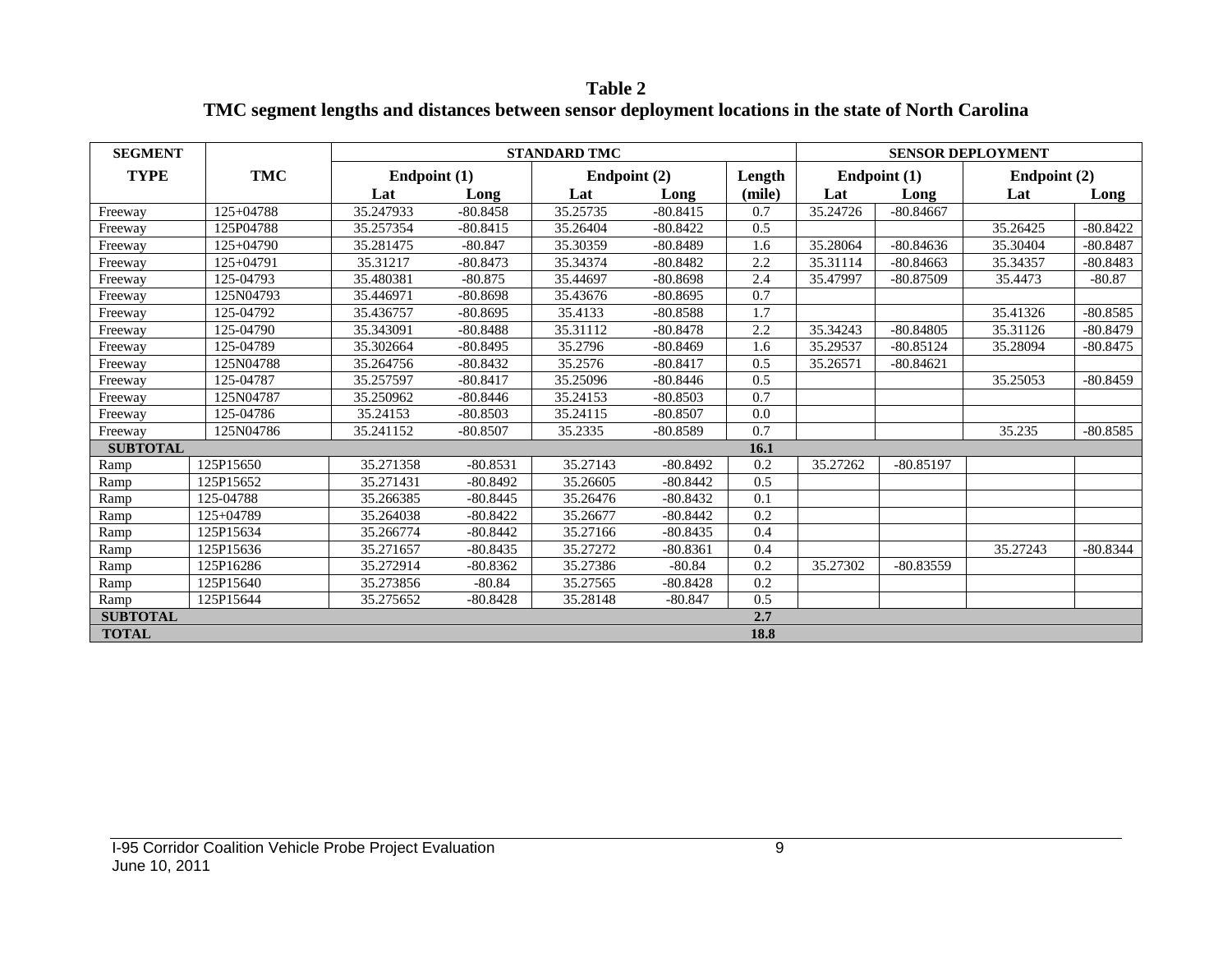**Table 2 TMC segment lengths and distances between sensor deployment locations in the state of North Carolina**

| <b>SEGMENT</b>  |             |              |            | <b>STANDARD TMC</b> |            |        |          |              | <b>SENSOR DEPLOYMENT</b> |            |
|-----------------|-------------|--------------|------------|---------------------|------------|--------|----------|--------------|--------------------------|------------|
| <b>TYPE</b>     | <b>TMC</b>  | Endpoint (1) |            | Endpoint (2)        |            | Length |          | Endpoint (1) | Endpoint (2)             |            |
|                 |             | Lat          | Long       | Lat                 | Long       | (mile) | Lat      | Long         | Lat                      | Long       |
| Freeway         | $125+04788$ | 35.247933    | $-80.8458$ | 35.25735            | $-80.8415$ | 0.7    | 35.24726 | $-80.84667$  |                          |            |
| Freeway         | 125P04788   | 35.257354    | $-80.8415$ | 35.26404            | $-80.8422$ | 0.5    |          |              | 35.26425                 | $-80.8422$ |
| Freeway         | $125+04790$ | 35.281475    | $-80.847$  | 35.30359            | $-80.8489$ | 1.6    | 35.28064 | $-80.84636$  | 35.30404                 | $-80.8487$ |
| Freeway         | 125+04791   | 35.31217     | $-80.8473$ | 35.34374            | $-80.8482$ | 2.2    | 35.31114 | $-80.84663$  | 35.34357                 | $-80.8483$ |
| Freeway         | 125-04793   | 35.480381    | $-80.875$  | 35.44697            | $-80.8698$ | 2.4    | 35.47997 | $-80.87509$  | 35.4473                  | $-80.87$   |
| Freeway         | 125N04793   | 35.446971    | $-80.8698$ | 35.43676            | $-80.8695$ | 0.7    |          |              |                          |            |
| Freeway         | 125-04792   | 35.436757    | $-80.8695$ | 35.4133             | $-80.8588$ | 1.7    |          |              | 35.41326                 | $-80.8585$ |
| Freeway         | 125-04790   | 35.343091    | $-80.8488$ | 35.31112            | $-80.8478$ | 2.2    | 35.34243 | $-80.84805$  | 35.31126                 | $-80.8479$ |
| Freeway         | 125-04789   | 35.302664    | $-80.8495$ | 35.2796             | $-80.8469$ | 1.6    | 35.29537 | $-80.85124$  | 35.28094                 | $-80.8475$ |
| Freeway         | 125N04788   | 35.264756    | $-80.8432$ | 35.2576             | $-80.8417$ | 0.5    | 35.26571 | $-80.84621$  |                          |            |
| Freeway         | 125-04787   | 35.257597    | $-80.8417$ | 35.25096            | $-80.8446$ | 0.5    |          |              | 35.25053                 | $-80.8459$ |
| Freeway         | 125N04787   | 35.250962    | $-80.8446$ | 35.24153            | $-80.8503$ | 0.7    |          |              |                          |            |
| Freeway         | 125-04786   | 35.24153     | $-80.8503$ | 35.24115            | $-80.8507$ | 0.0    |          |              |                          |            |
| Freeway         | 125N04786   | 35.241152    | $-80.8507$ | 35.2335             | $-80.8589$ | 0.7    |          |              | 35.235                   | $-80.8585$ |
| <b>SUBTOTAL</b> |             |              |            |                     |            | 16.1   |          |              |                          |            |
| Ramp            | 125P15650   | 35.271358    | $-80.8531$ | 35.27143            | $-80.8492$ | 0.2    | 35.27262 | $-80.85197$  |                          |            |
| Ramp            | 125P15652   | 35.271431    | $-80.8492$ | 35.26605            | $-80.8442$ | 0.5    |          |              |                          |            |
| Ramp            | 125-04788   | 35.266385    | $-80.8445$ | 35.26476            | $-80.8432$ | 0.1    |          |              |                          |            |
| Ramp            | 125+04789   | 35.264038    | $-80.8422$ | 35.26677            | $-80.8442$ | 0.2    |          |              |                          |            |
| Ramp            | 125P15634   | 35.266774    | $-80.8442$ | 35.27166            | $-80.8435$ | 0.4    |          |              |                          |            |
| Ramp            | 125P15636   | 35.271657    | $-80.8435$ | 35.27272            | $-80.8361$ | 0.4    |          |              | 35.27243                 | $-80.8344$ |
| Ramp            | 125P16286   | 35.272914    | $-80.8362$ | 35.27386            | $-80.84$   | 0.2    | 35.27302 | $-80.83559$  |                          |            |
| Ramp            | 125P15640   | 35.273856    | $-80.84$   | 35.27565            | $-80.8428$ | 0.2    |          |              |                          |            |
| Ramp            | 125P15644   | 35.275652    | $-80.8428$ | 35.28148            | $-80.847$  | 0.5    |          |              |                          |            |
| <b>SUBTOTAL</b> |             |              |            |                     |            | 2.7    |          |              |                          |            |
| <b>TOTAL</b>    |             |              |            |                     |            | 18.8   |          |              |                          |            |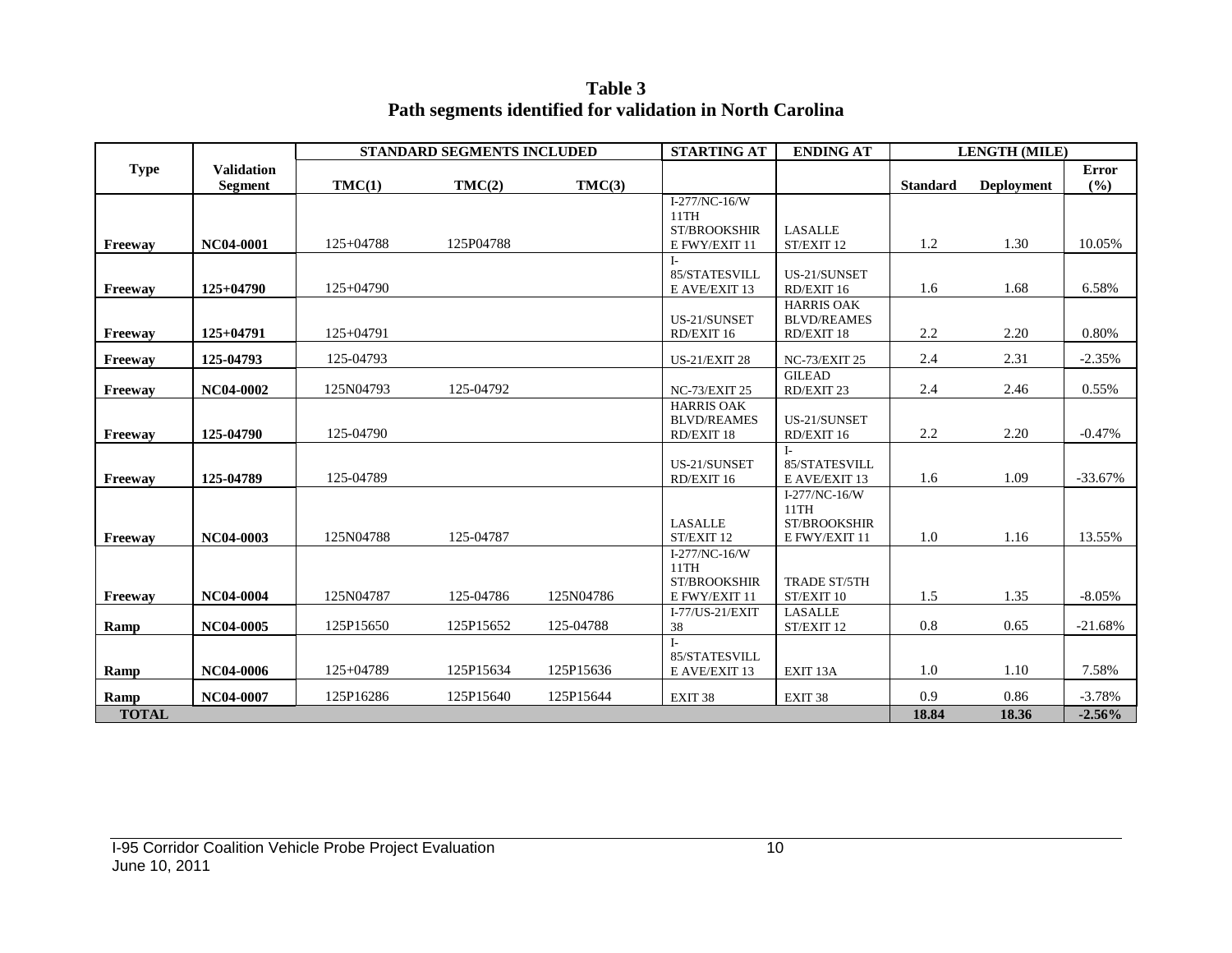**Table 3 Path segments identified for validation in North Carolina**

|                      |                                     |             | STANDARD SEGMENTS INCLUDED |           | <b>STARTING AT</b>                                            | <b>ENDING AT</b>                                       |                 | <b>LENGTH (MILE)</b> |                      |
|----------------------|-------------------------------------|-------------|----------------------------|-----------|---------------------------------------------------------------|--------------------------------------------------------|-----------------|----------------------|----------------------|
| <b>Type</b>          | <b>Validation</b><br><b>Segment</b> | TMC(1)      | TMC(2)                     | TMC(3)    |                                                               |                                                        | <b>Standard</b> | <b>Deployment</b>    | Error<br>(%)         |
| Freeway              | NC04-0001                           | $125+04788$ | 125P04788                  |           | I-277/NC-16/W<br>11TH<br><b>ST/BROOKSHIR</b><br>E FWY/EXIT 11 | <b>LASALLE</b><br>ST/EXIT 12                           | 1.2             | 1.30                 | 10.05%               |
| Freeway              | $125+04790$                         | $125+04790$ |                            |           | 85/STATESVILL<br>E AVE/EXIT 13                                | US-21/SUNSET<br>RD/EXIT 16                             | 1.6             | 1.68                 | 6.58%                |
| Freeway              | 125+04791                           | 125+04791   |                            |           | US-21/SUNSET<br>RD/EXIT 16                                    | <b>HARRIS OAK</b><br><b>BLVD/REAMES</b><br>RD/EXIT 18  | 2.2             | 2.20                 | 0.80%                |
| Freeway              | 125-04793                           | 125-04793   |                            |           | <b>US-21/EXIT 28</b>                                          | <b>NC-73/EXIT 25</b>                                   | 2.4             | 2.31                 | $-2.35%$             |
| Freeway              | NC04-0002                           | 125N04793   | 125-04792                  |           | <b>NC-73/EXIT 25</b>                                          | <b>GILEAD</b><br>RD/EXIT 23                            | 2.4             | 2.46                 | 0.55%                |
| Freeway              | 125-04790                           | 125-04790   |                            |           | <b>HARRIS OAK</b><br><b>BLVD/REAMES</b><br>RD/EXIT 18         | US-21/SUNSET<br>RD/EXIT 16                             | 2.2             | 2.20                 | $-0.47%$             |
| Freeway              | 125-04789                           | 125-04789   |                            |           | US-21/SUNSET<br>RD/EXIT 16                                    | $I -$<br>85/STATESVILL<br>E AVE/EXIT 13                | 1.6             | 1.09                 | $-33.67%$            |
| Freeway              | NC04-0003                           | 125N04788   | 125-04787                  |           | <b>LASALLE</b><br>ST/EXIT 12                                  | I-277/NC-16/W<br>11TH<br>ST/BROOKSHIR<br>E FWY/EXIT 11 | $1.0\,$         | 1.16                 | 13.55%               |
| Freeway              | NC04-0004                           | 125N04787   | 125-04786                  | 125N04786 | I-277/NC-16/W<br>11TH<br><b>ST/BROOKSHIR</b><br>E FWY/EXIT 11 | <b>TRADE ST/5TH</b><br>ST/EXIT 10                      | 1.5             | 1.35                 | $-8.05%$             |
| Ramp                 | NC04-0005                           | 125P15650   | 125P15652                  | 125-04788 | I-77/US-21/EXIT<br>38                                         | <b>LASALLE</b><br>ST/EXIT 12                           | 0.8             | 0.65                 | $-21.68%$            |
| Ramp                 | NC04-0006                           | 125+04789   | 125P15634                  | 125P15636 | $I-$<br>85/STATESVILL<br>E AVE/EXIT 13                        | EXIT <sub>13</sub> A                                   | 1.0             | 1.10                 | 7.58%                |
| Ramp<br><b>TOTAL</b> | NC04-0007                           | 125P16286   | 125P15640                  | 125P15644 | EXIT <sub>38</sub>                                            | EXIT <sub>38</sub>                                     | 0.9<br>18.84    | 0.86<br>18.36        | $-3.78%$<br>$-2.56%$ |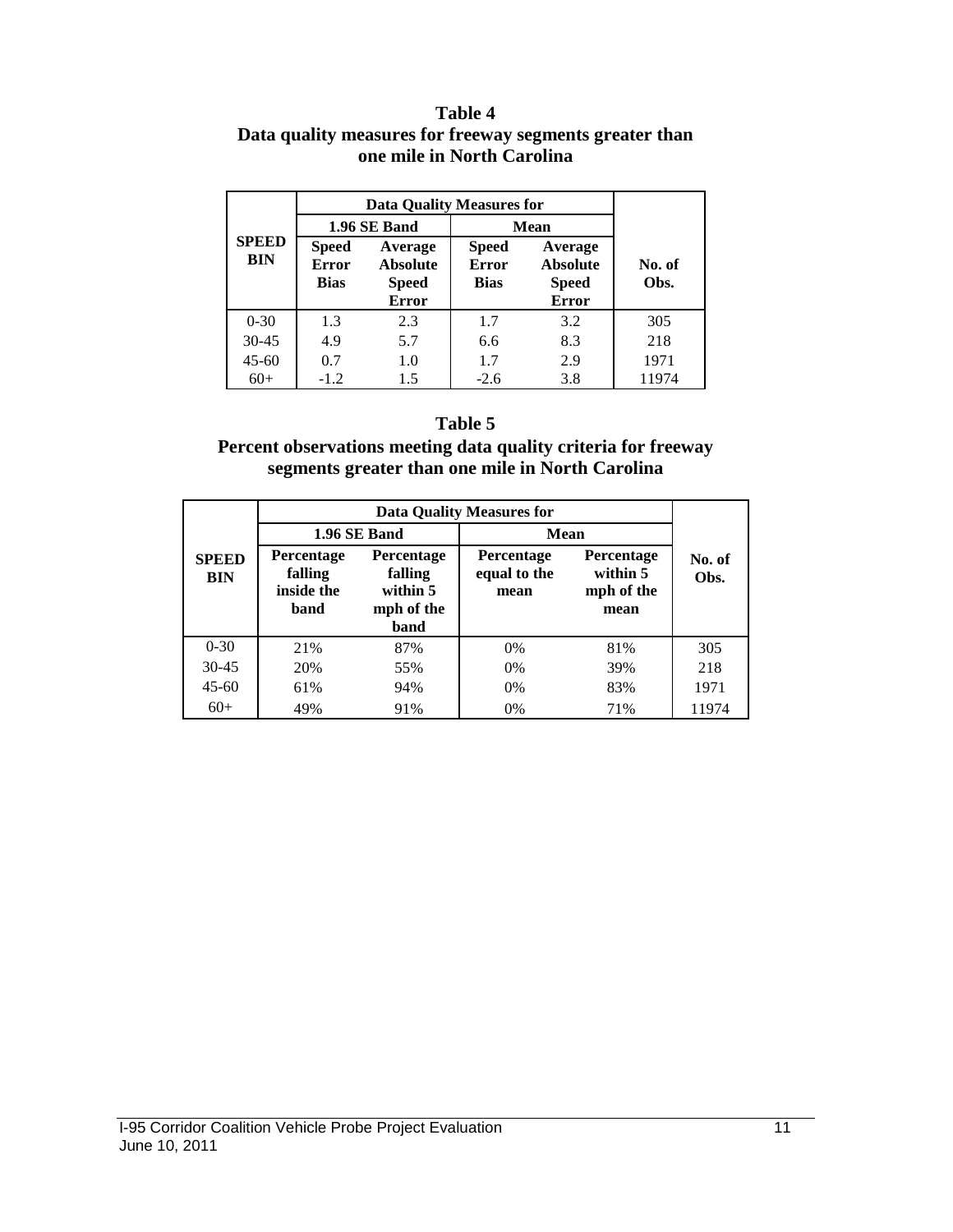#### **Table 4 Data quality measures for freeway segments greater than one mile in North Carolina**

|                            |                                                                                                           | 1.96 SE Band |                                             | Mean                                                       |                |  |
|----------------------------|-----------------------------------------------------------------------------------------------------------|--------------|---------------------------------------------|------------------------------------------------------------|----------------|--|
| <b>SPEED</b><br><b>BIN</b> | Average<br><b>Speed</b><br><b>Error</b><br><b>Absolute</b><br><b>Bias</b><br><b>Speed</b><br><b>Error</b> |              | <b>Speed</b><br><b>Error</b><br><b>Bias</b> | Average<br><b>Absolute</b><br><b>Speed</b><br><b>Error</b> | No. of<br>Obs. |  |
| $0 - 30$                   | 1.3                                                                                                       | 2.3          | 1.7                                         | 3.2                                                        | 305            |  |
| $30 - 45$                  | 4.9                                                                                                       | 5.7          | 6.6                                         | 8.3                                                        | 218            |  |
| $45 - 60$                  | 0.7                                                                                                       | 1.0          | 1.7                                         | 2.9                                                        | 1971           |  |
| $60+$                      | $-1.2$                                                                                                    | 1.5          | $-2.6$                                      | 3.8                                                        | 11974          |  |

#### **Table 5**

#### **Percent observations meeting data quality criteria for freeway segments greater than one mile in North Carolina**

|                            |                                                                                                               |              | <b>Data Quality Measures for</b>          |                                                     |                |
|----------------------------|---------------------------------------------------------------------------------------------------------------|--------------|-------------------------------------------|-----------------------------------------------------|----------------|
|                            |                                                                                                               | 1.96 SE Band | Mean                                      |                                                     |                |
| <b>SPEED</b><br><b>BIN</b> | Percentage<br><b>Percentage</b><br>falling<br>falling<br>inside the<br>within 5<br>mph of the<br>band<br>band |              | <b>Percentage</b><br>equal to the<br>mean | <b>Percentage</b><br>within 5<br>mph of the<br>mean | No. of<br>Obs. |
| $0 - 30$                   | 21%                                                                                                           | 87%          | $0\%$                                     | 81%                                                 | 305            |
| 30-45                      | 20%                                                                                                           | 55%          | $0\%$                                     | 39%                                                 | 218            |
| $45 - 60$                  | 61%                                                                                                           | 94%          | $0\%$                                     | 83%                                                 | 1971           |
| $60+$                      | 49%                                                                                                           | 91%          | $0\%$                                     | 71%                                                 | 11974          |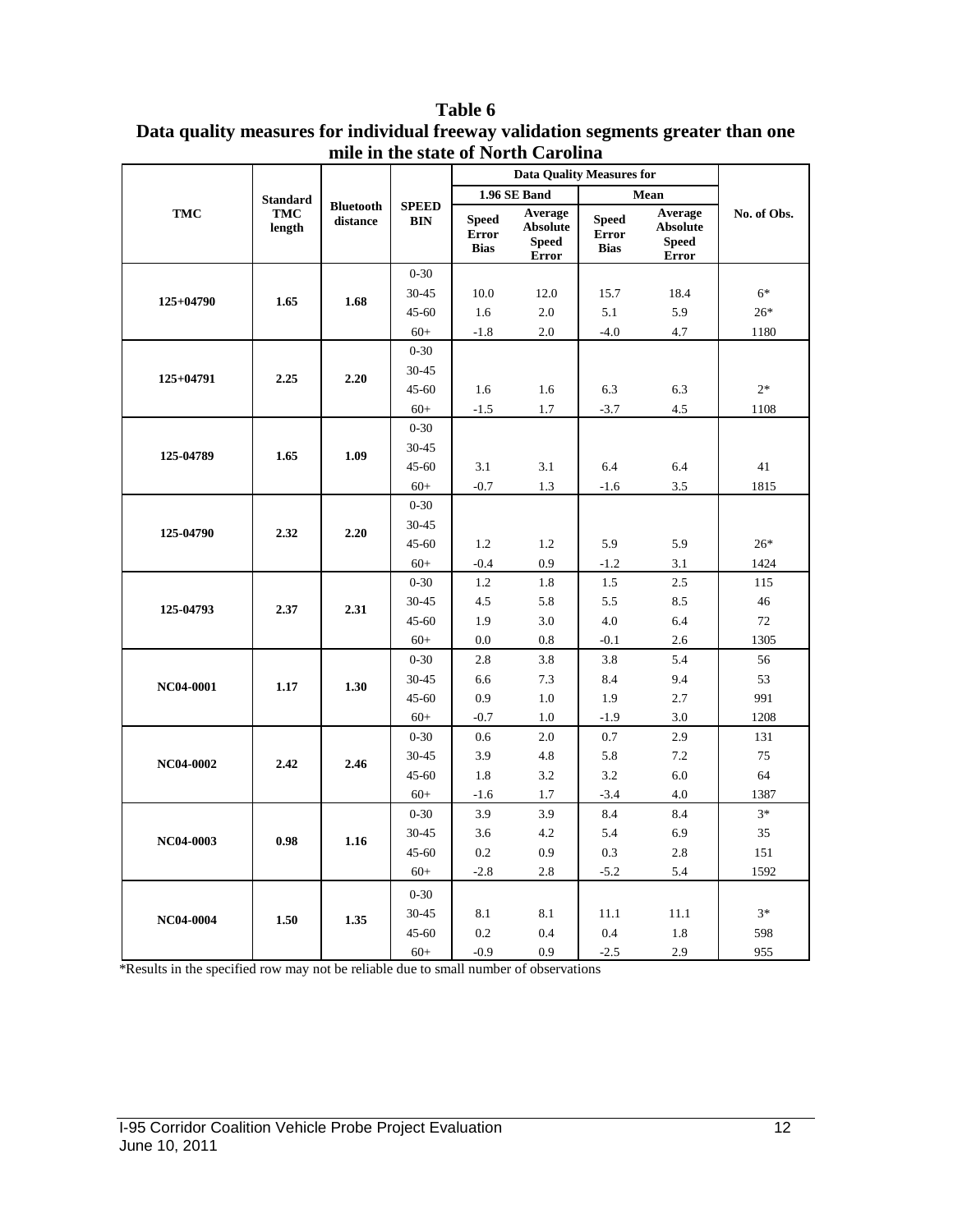|             |                      |                              |                            |                                             | <b>Data Quality Measures for</b>                           |                                             |                                                            |             |
|-------------|----------------------|------------------------------|----------------------------|---------------------------------------------|------------------------------------------------------------|---------------------------------------------|------------------------------------------------------------|-------------|
|             | <b>Standard</b>      |                              |                            |                                             | 1.96 SE Band                                               |                                             | Mean                                                       |             |
| TMC         | <b>TMC</b><br>length | <b>Bluetooth</b><br>distance | <b>SPEED</b><br><b>BIN</b> | <b>Speed</b><br><b>Error</b><br><b>Bias</b> | Average<br><b>Absolute</b><br><b>Speed</b><br><b>Error</b> | <b>Speed</b><br><b>Error</b><br><b>Bias</b> | Average<br><b>Absolute</b><br><b>Speed</b><br><b>Error</b> | No. of Obs. |
|             |                      |                              | $0 - 30$                   |                                             |                                                            |                                             |                                                            |             |
|             |                      |                              | 30-45                      | 10.0                                        | 12.0                                                       | 15.7                                        | 18.4                                                       | $6*$        |
| 125+04790   | 1.65                 | 1.68                         | $45 - 60$                  | 1.6                                         | 2.0                                                        | 5.1                                         | 5.9                                                        | $26*$       |
|             |                      |                              | $60+$                      | $-1.8$                                      | 2.0                                                        | $-4.0$                                      | 4.7                                                        | 1180        |
|             |                      |                              | $0 - 30$                   |                                             |                                                            |                                             |                                                            |             |
| $125+04791$ |                      | 2.20                         | 30-45                      |                                             |                                                            |                                             |                                                            |             |
|             | 2.25                 |                              | 45-60                      | 1.6                                         | 1.6                                                        | 6.3                                         | 6.3                                                        | $2*$        |
|             |                      |                              | $60+$                      | $-1.5$                                      | 1.7                                                        | $-3.7$                                      | 4.5                                                        | 1108        |
|             |                      |                              | $0 - 30$                   |                                             |                                                            |                                             |                                                            |             |
| 125-04789   | 1.65                 | 1.09                         | 30-45                      |                                             |                                                            |                                             |                                                            |             |
|             |                      |                              | $45 - 60$                  | 3.1                                         | 3.1                                                        | 6.4                                         | 6.4                                                        | 41          |
|             |                      |                              | $60+$                      | $-0.7$                                      | 1.3                                                        | $-1.6$                                      | 3.5                                                        | 1815        |
|             |                      |                              | $0 - 30$                   |                                             |                                                            |                                             |                                                            |             |
|             | 2.32                 | 2.20                         | 30-45                      |                                             |                                                            |                                             |                                                            |             |
| 125-04790   |                      |                              | $45 - 60$                  | 1.2                                         | 1.2                                                        | 5.9                                         | 5.9                                                        | $26*$       |
|             |                      |                              | $60+$                      | $-0.4$                                      | 0.9                                                        | $-1.2$                                      | 3.1                                                        | 1424        |
|             |                      |                              | $0 - 30$                   | 1.2                                         | 1.8                                                        | 1.5                                         | 2.5                                                        | 115         |
| 125-04793   | 2.37                 | 2.31                         | 30-45                      | 4.5                                         | 5.8                                                        | 5.5                                         | 8.5                                                        | 46          |
|             |                      |                              | 45-60                      | 1.9                                         | 3.0                                                        | 4.0                                         | 6.4                                                        | 72          |
|             |                      |                              | $60+$                      | 0.0                                         | 0.8                                                        | $-0.1$                                      | 2.6                                                        | 1305        |
|             |                      |                              | $0 - 30$                   | 2.8                                         | 3.8                                                        | 3.8                                         | 5.4                                                        | 56          |
| NC04-0001   | 1.17                 | 1.30                         | 30-45                      | 6.6                                         | 7.3                                                        | 8.4                                         | 9.4                                                        | 53          |
|             |                      |                              | 45-60                      | 0.9                                         | 1.0                                                        | 1.9                                         | 2.7                                                        | 991         |
|             |                      |                              | $60+$                      | $-0.7$                                      | 1.0                                                        | $-1.9$                                      | 3.0                                                        | 1208        |
|             |                      |                              | $0 - 30$                   | 0.6                                         | 2.0                                                        | 0.7                                         | 2.9                                                        | 131         |
| NC04-0002   | 2.42                 | 2.46                         | 30-45                      | 3.9                                         | 4.8                                                        | 5.8                                         | $7.2\,$                                                    | 75          |
|             |                      |                              | $45 - 60$                  | 1.8                                         | 3.2                                                        | 3.2                                         | 6.0                                                        | 64          |
|             |                      |                              | $60+$                      | $-1.6$                                      | 1.7                                                        | $-3.4$                                      | 4.0                                                        | 1387        |
|             |                      |                              | $0 - 30$                   | 3.9                                         | 3.9                                                        | 8.4                                         | 8.4                                                        | $3*$        |
| NC04-0003   | 0.98                 | 1.16                         | 30-45                      | 3.6                                         | 4.2                                                        | 5.4                                         | 6.9                                                        | 35          |
|             |                      |                              | $45 - 60$                  | 0.2                                         | 0.9                                                        | 0.3                                         | 2.8                                                        | 151         |
|             |                      |                              | $60+$                      | $-2.8$                                      | 2.8                                                        | $-5.2$                                      | 5.4                                                        | 1592        |
|             |                      |                              | $0 - 30$                   |                                             |                                                            |                                             |                                                            |             |
| NC04-0004   | 1.50                 | 1.35                         | $30 - 45$                  | 8.1                                         | 8.1                                                        | 11.1                                        | 11.1                                                       | $3*$        |
|             |                      |                              | 45-60                      | 0.2                                         | 0.4                                                        | 0.4                                         | 1.8                                                        | 598         |
|             |                      |                              | $60+$                      | $-0.9$                                      | 0.9                                                        | $-2.5$                                      | 2.9                                                        | 955         |

**Table 6 Data quality measures for individual freeway validation segments greater than one mile in the state of North Carolina**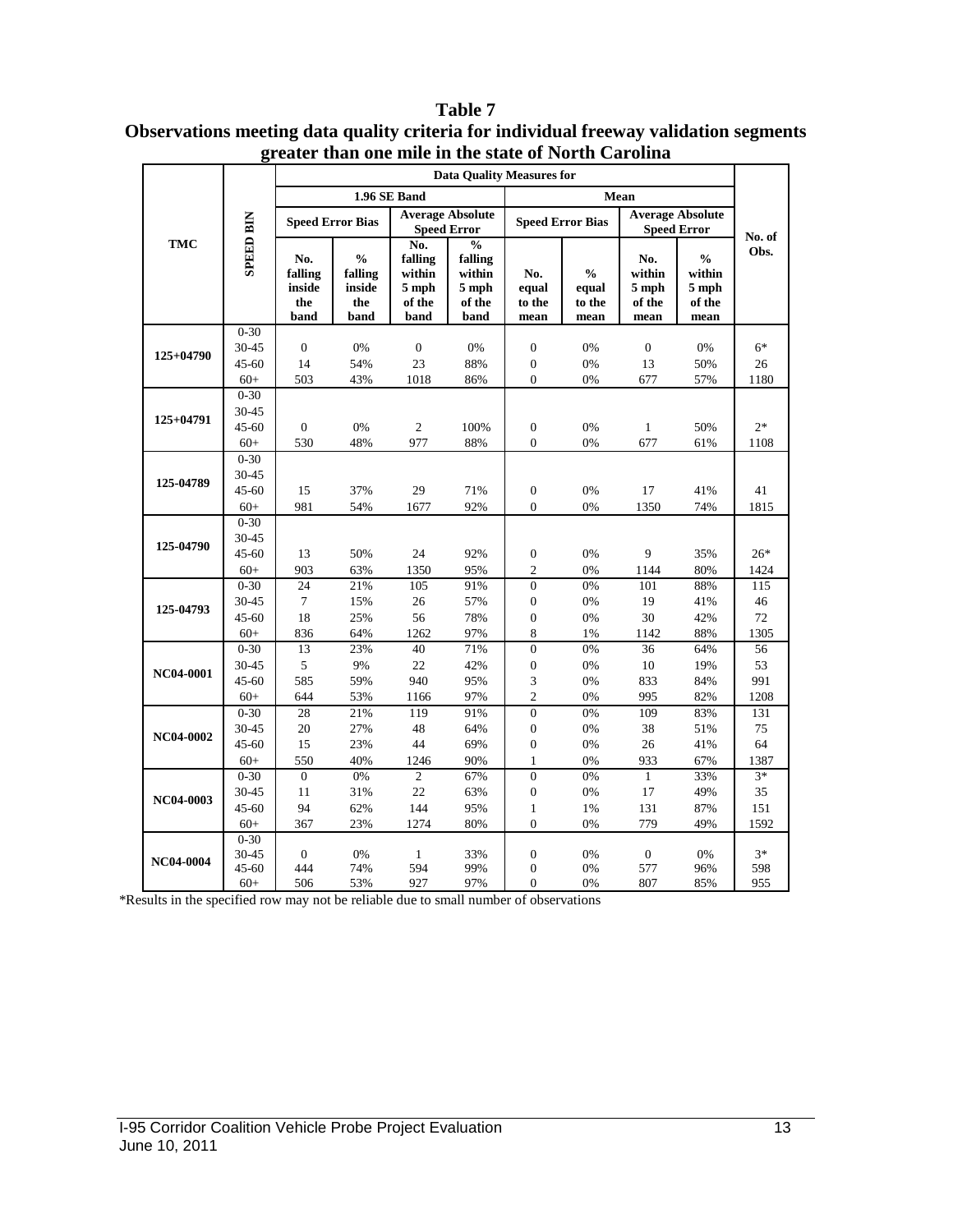|           |                   | <b>Data Quality Measures for</b>        |                                                   |                                                     |                                                                 |                                |                                          |                                          |                                                                           |                  |  |  |
|-----------|-------------------|-----------------------------------------|---------------------------------------------------|-----------------------------------------------------|-----------------------------------------------------------------|--------------------------------|------------------------------------------|------------------------------------------|---------------------------------------------------------------------------|------------------|--|--|
|           |                   |                                         |                                                   | 1.96 SE Band                                        |                                                                 |                                |                                          | Mean                                     |                                                                           |                  |  |  |
|           |                   |                                         |                                                   |                                                     | <b>Average Absolute</b>                                         |                                |                                          |                                          | <b>Average Absolute</b>                                                   |                  |  |  |
|           |                   |                                         | <b>Speed Error Bias</b>                           |                                                     | <b>Speed Error</b>                                              |                                | <b>Speed Error Bias</b>                  |                                          | <b>Speed Error</b>                                                        | No. of           |  |  |
| TMC       | <b>SPEED BIN</b>  | No.<br>falling<br>inside<br>the<br>band | $\frac{0}{0}$<br>falling<br>inside<br>the<br>band | No.<br>falling<br>within<br>5 mph<br>of the<br>band | $\frac{0}{0}$<br>falling<br>within<br>$5$ mph<br>of the<br>band | No.<br>equal<br>to the<br>mean | $\frac{0}{0}$<br>equal<br>to the<br>mean | No.<br>within<br>5 mph<br>of the<br>mean | $\mathbf{0}_{\mathbf{0}}^{\prime}$<br>within<br>$5$ mph<br>of the<br>mean | Obs.             |  |  |
|           | $0 - 30$          |                                         |                                                   |                                                     |                                                                 |                                |                                          |                                          |                                                                           |                  |  |  |
| 125+04790 | 30-45             | $\boldsymbol{0}$                        | $0\%$                                             | $\boldsymbol{0}$                                    | $0\%$                                                           | $\boldsymbol{0}$               | 0%                                       | $\boldsymbol{0}$                         | 0%                                                                        | $6*$             |  |  |
|           | 45-60             | 14                                      | 54%                                               | 23                                                  | 88%                                                             | $\boldsymbol{0}$               | 0%                                       | 13                                       | 50%                                                                       | 26               |  |  |
|           | $60+$             | 503                                     | 43%                                               | 1018                                                | 86%                                                             | $\overline{0}$                 | 0%                                       | 677                                      | 57%                                                                       | 1180             |  |  |
|           | $0 - 30$          |                                         |                                                   |                                                     |                                                                 |                                |                                          |                                          |                                                                           |                  |  |  |
| 125+04791 | 30-45             |                                         |                                                   |                                                     |                                                                 |                                |                                          |                                          |                                                                           |                  |  |  |
|           | $45 - 60$         | $\boldsymbol{0}$                        | 0%                                                | $\overline{c}$                                      | 100%                                                            | $\boldsymbol{0}$               | 0%                                       | $\mathbf{1}$                             | 50%                                                                       | $2*$             |  |  |
|           | $60+$             | 530                                     | 48%                                               | 977                                                 | 88%                                                             | $\overline{0}$                 | 0%                                       | 677                                      | 61%                                                                       | 1108             |  |  |
|           | $0 - 30$<br>30-45 |                                         |                                                   |                                                     |                                                                 |                                |                                          |                                          |                                                                           |                  |  |  |
| 125-04789 | 45-60             | 15                                      | 37%                                               | 29                                                  | 71%                                                             | $\boldsymbol{0}$               | 0%                                       | 17                                       |                                                                           | 41               |  |  |
|           | $60+$             | 981                                     | 54%                                               | 1677                                                | 92%                                                             | $\theta$                       | 0%                                       | 1350                                     | 41%<br>74%                                                                | 1815             |  |  |
|           | $0 - 30$          |                                         |                                                   |                                                     |                                                                 |                                |                                          |                                          |                                                                           |                  |  |  |
|           | 30-45             |                                         |                                                   |                                                     |                                                                 |                                |                                          |                                          |                                                                           |                  |  |  |
| 125-04790 | $45 - 60$         | 13                                      | 50%                                               | 24                                                  | 92%                                                             | $\boldsymbol{0}$               | 0%                                       | 9                                        | 35%                                                                       | $26*$            |  |  |
|           | $60+$             | 903                                     | 63%                                               | 1350                                                | 95%                                                             | $\overline{c}$                 | 0%                                       | 1144                                     | 80%                                                                       | 1424             |  |  |
|           | $0 - 30$          | 24                                      | 21%                                               | 105                                                 | 91%                                                             | $\overline{0}$                 | 0%                                       | 101                                      | 88%                                                                       | $\overline{115}$ |  |  |
|           | 30-45             | $\boldsymbol{7}$                        | 15%                                               | 26                                                  | 57%                                                             | $\boldsymbol{0}$               | 0%                                       | 19                                       | 41%                                                                       | 46               |  |  |
| 125-04793 | 45-60             | 18                                      | 25%                                               | 56                                                  | 78%                                                             | $\boldsymbol{0}$               | 0%                                       | 30                                       | 42%                                                                       | 72               |  |  |
|           | $60+$             | 836                                     | 64%                                               | 1262                                                | 97%                                                             | 8                              | 1%                                       | 1142                                     | 88%                                                                       | 1305             |  |  |
|           | $0 - 30$          | 13                                      | 23%                                               | 40                                                  | 71%                                                             | $\overline{0}$                 | 0%                                       | 36                                       | 64%                                                                       | 56               |  |  |
| NC04-0001 | 30-45             | 5                                       | 9%                                                | 22                                                  | 42%                                                             | $\boldsymbol{0}$               | 0%                                       | 10                                       | 19%                                                                       | 53               |  |  |
|           | $45 - 60$         | 585                                     | 59%                                               | 940                                                 | 95%                                                             | 3                              | 0%                                       | 833                                      | 84%                                                                       | 991              |  |  |
|           | $60+$             | 644                                     | 53%                                               | 1166                                                | 97%                                                             | $\overline{c}$                 | 0%                                       | 995                                      | 82%                                                                       | 1208             |  |  |
|           | $0 - 30$          | 28                                      | 21%                                               | 119                                                 | 91%                                                             | $\overline{0}$                 | 0%                                       | 109                                      | 83%                                                                       | 131              |  |  |
| NC04-0002 | 30-45             | 20                                      | 27%                                               | 48                                                  | 64%                                                             | $\boldsymbol{0}$               | 0%                                       | 38                                       | 51%                                                                       | $75\,$           |  |  |
|           | 45-60             | 15                                      | 23%                                               | 44                                                  | 69%                                                             | $\boldsymbol{0}$               | 0%                                       | 26                                       | 41%                                                                       | 64               |  |  |
|           | $60+$             | 550                                     | 40%                                               | 1246                                                | 90%                                                             | $\mathbf{1}$                   | 0%                                       | 933                                      | 67%                                                                       | 1387             |  |  |
|           | $0 - 30$          | $\boldsymbol{0}$                        | $0\%$                                             | $\overline{c}$                                      | 67%                                                             | $\boldsymbol{0}$               | 0%                                       | $\mathbf{1}$                             | 33%                                                                       | $3*$             |  |  |
| NC04-0003 | 30-45             | 11                                      | 31%                                               | 22                                                  | 63%                                                             | $\boldsymbol{0}$               | 0%                                       | 17                                       | 49%                                                                       | 35               |  |  |
|           | 45-60             | 94                                      | 62%                                               | 144                                                 | 95%                                                             | $\mathbf{1}$<br>$\overline{0}$ | 1%                                       | 131                                      | 87%                                                                       | 151              |  |  |
|           | $60+$<br>$0 - 30$ | 367                                     | 23%                                               | 1274                                                | 80%                                                             |                                | 0%                                       | 779                                      | 49%                                                                       | 1592             |  |  |
|           | 30-45             | $\boldsymbol{0}$                        | 0%                                                | $\mathbf{1}$                                        | 33%                                                             | $\boldsymbol{0}$               | 0%                                       | $\boldsymbol{0}$                         | 0%                                                                        | $3*$             |  |  |
| NC04-0004 | $45 - 60$         | 444                                     | 74%                                               | 594                                                 | 99%                                                             | $\boldsymbol{0}$               | 0%                                       | 577                                      | 96%                                                                       | 598              |  |  |
|           | $60+$             | 506                                     | 53%                                               | 927                                                 | 97%                                                             | $\boldsymbol{0}$               | 0%                                       | 807                                      | 85%                                                                       | 955              |  |  |

#### **Table 7 Observations meeting data quality criteria for individual freeway validation segments greater than one mile in the state of North Carolina**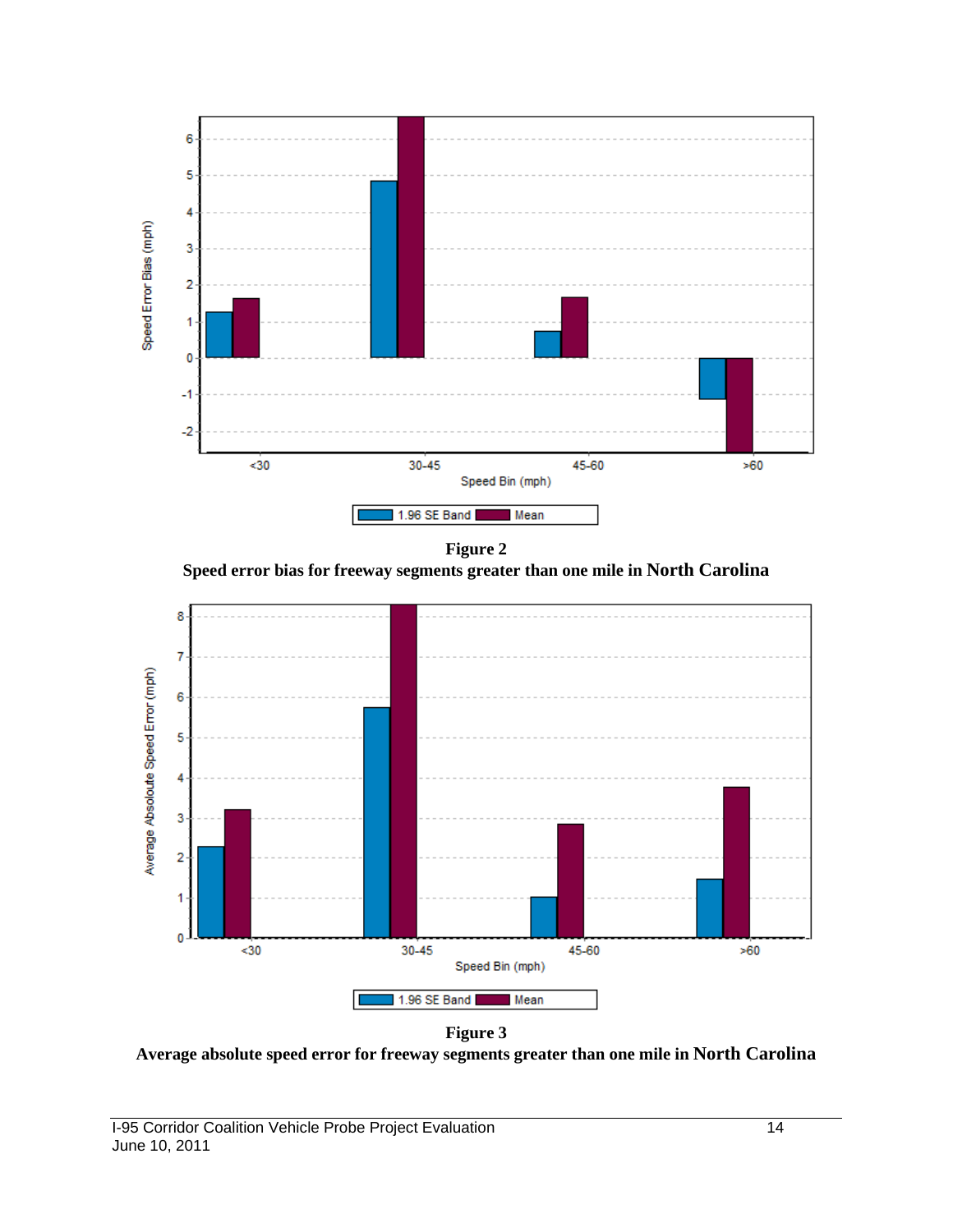



**Speed error bias for freeway segments greater than one mile in North Carolina**



**Figure 3**

**Average absolute speed error for freeway segments greater than one mile in North Carolina**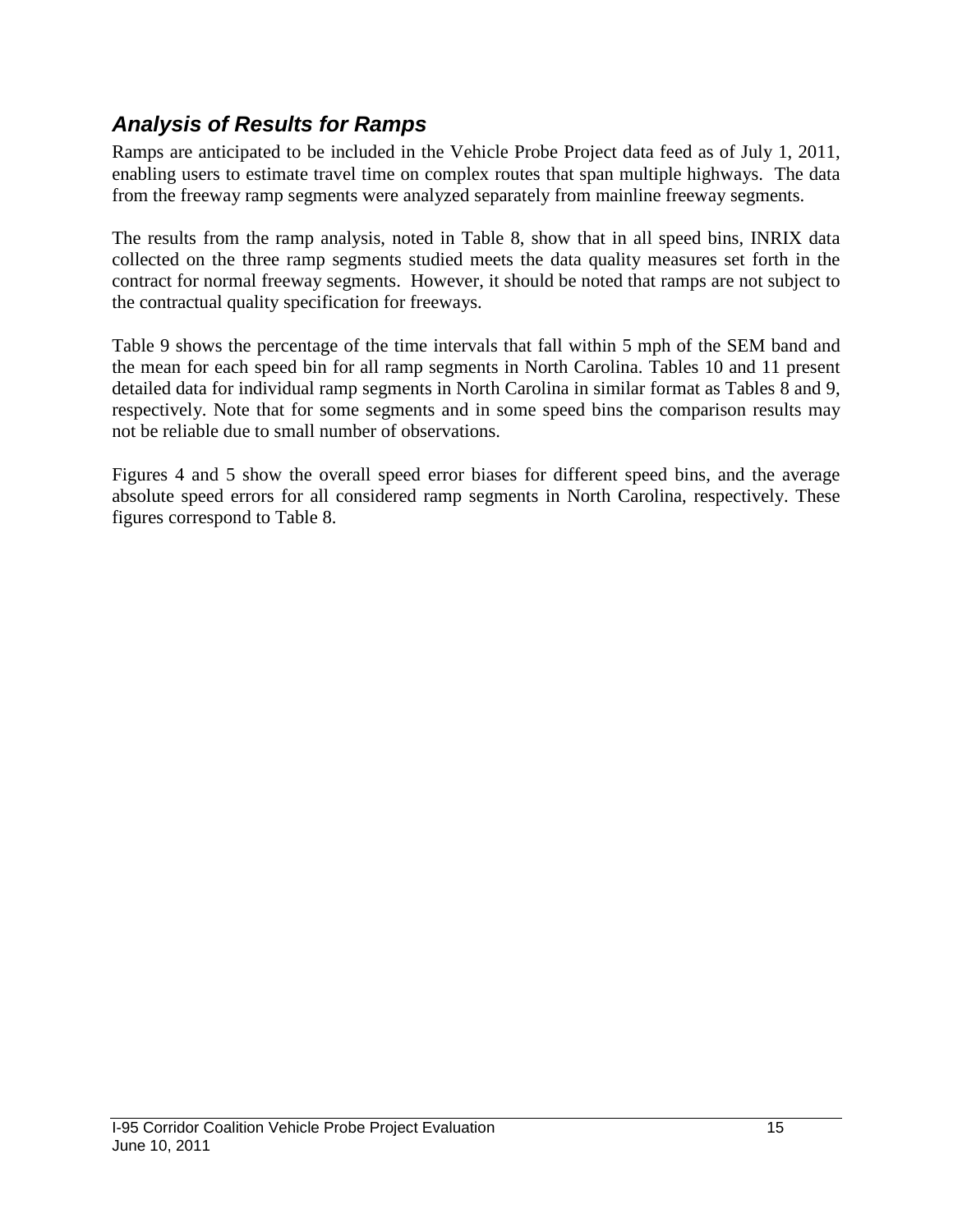# *Analysis of Results for Ramps*

Ramps are anticipated to be included in the Vehicle Probe Project data feed as of July 1, 2011, enabling users to estimate travel time on complex routes that span multiple highways. The data from the freeway ramp segments were analyzed separately from mainline freeway segments.

The results from the ramp analysis, noted in Table 8, show that in all speed bins, INRIX data collected on the three ramp segments studied meets the data quality measures set forth in the contract for normal freeway segments. However, it should be noted that ramps are not subject to the contractual quality specification for freeways.

Table 9 shows the percentage of the time intervals that fall within 5 mph of the SEM band and the mean for each speed bin for all ramp segments in North Carolina. Tables 10 and 11 present detailed data for individual ramp segments in North Carolina in similar format as Tables 8 and 9, respectively. Note that for some segments and in some speed bins the comparison results may not be reliable due to small number of observations.

Figures 4 and 5 show the overall speed error biases for different speed bins, and the average absolute speed errors for all considered ramp segments in North Carolina, respectively. These figures correspond to Table 8.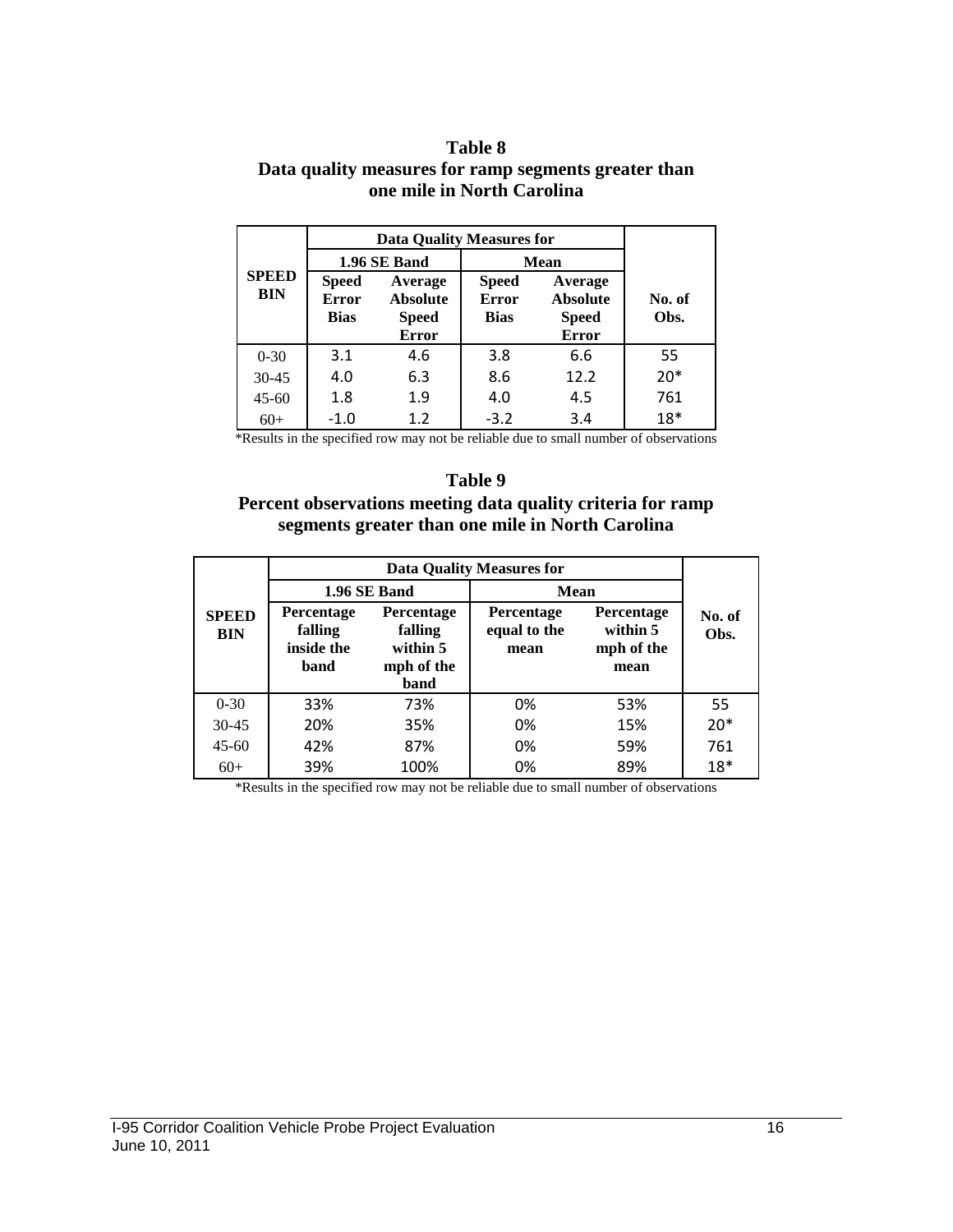#### **Table 8 Data quality measures for ramp segments greater than one mile in North Carolina**

|                     |                                             | <b>Data Quality Measures for</b>                           |                                             |                                                            |                |  |  |
|---------------------|---------------------------------------------|------------------------------------------------------------|---------------------------------------------|------------------------------------------------------------|----------------|--|--|
|                     |                                             | 1.96 SE Band                                               |                                             | <b>Mean</b>                                                |                |  |  |
| <b>SPEED</b><br>BIN | <b>Speed</b><br><b>Error</b><br><b>Bias</b> | Average<br><b>Absolute</b><br><b>Speed</b><br><b>Error</b> | <b>Speed</b><br><b>Error</b><br><b>Bias</b> | Average<br><b>Absolute</b><br><b>Speed</b><br><b>Error</b> | No. of<br>Obs. |  |  |
| $0 - 30$            | 3.1                                         | 4.6                                                        | 3.8                                         | 6.6                                                        | 55             |  |  |
| $30 - 45$           | 4.0                                         | 6.3                                                        | 8.6                                         | 12.2                                                       | $20*$          |  |  |
| $45 - 60$           | 1.8                                         | 1.9                                                        | 4.0                                         | 4.5                                                        | 761            |  |  |
| $60+$               | $-1.0$                                      | 1.2                                                        | $-3.2$                                      | 3.4                                                        | $18*$          |  |  |

\*Results in the specified row may not be reliable due to small number of observations

#### **Table 9**

#### **Percent observations meeting data quality criteria for ramp segments greater than one mile in North Carolina**

|                            | <b>Data Quality Measures for</b>                   |                                                                |                                           |                                                     |                |  |  |
|----------------------------|----------------------------------------------------|----------------------------------------------------------------|-------------------------------------------|-----------------------------------------------------|----------------|--|--|
| <b>SPEED</b><br><b>BIN</b> |                                                    | 1.96 SE Band                                                   | <b>Mean</b>                               |                                                     |                |  |  |
|                            | <b>Percentage</b><br>falling<br>inside the<br>band | <b>Percentage</b><br>falling<br>within 5<br>mph of the<br>band | <b>Percentage</b><br>equal to the<br>mean | <b>Percentage</b><br>within 5<br>mph of the<br>mean | No. of<br>Obs. |  |  |
| $0 - 30$                   | 33%                                                | 73%                                                            | 0%                                        | 53%                                                 | 55             |  |  |
| $30 - 45$                  | 20%                                                | 35%                                                            | 0%                                        | 15%                                                 | $20*$          |  |  |
| $45 - 60$                  | 42%                                                | 87%                                                            | 0%                                        | 59%                                                 | 761            |  |  |
| $60+$                      | 39%                                                | 100%                                                           | 0%                                        | 89%                                                 | $18*$          |  |  |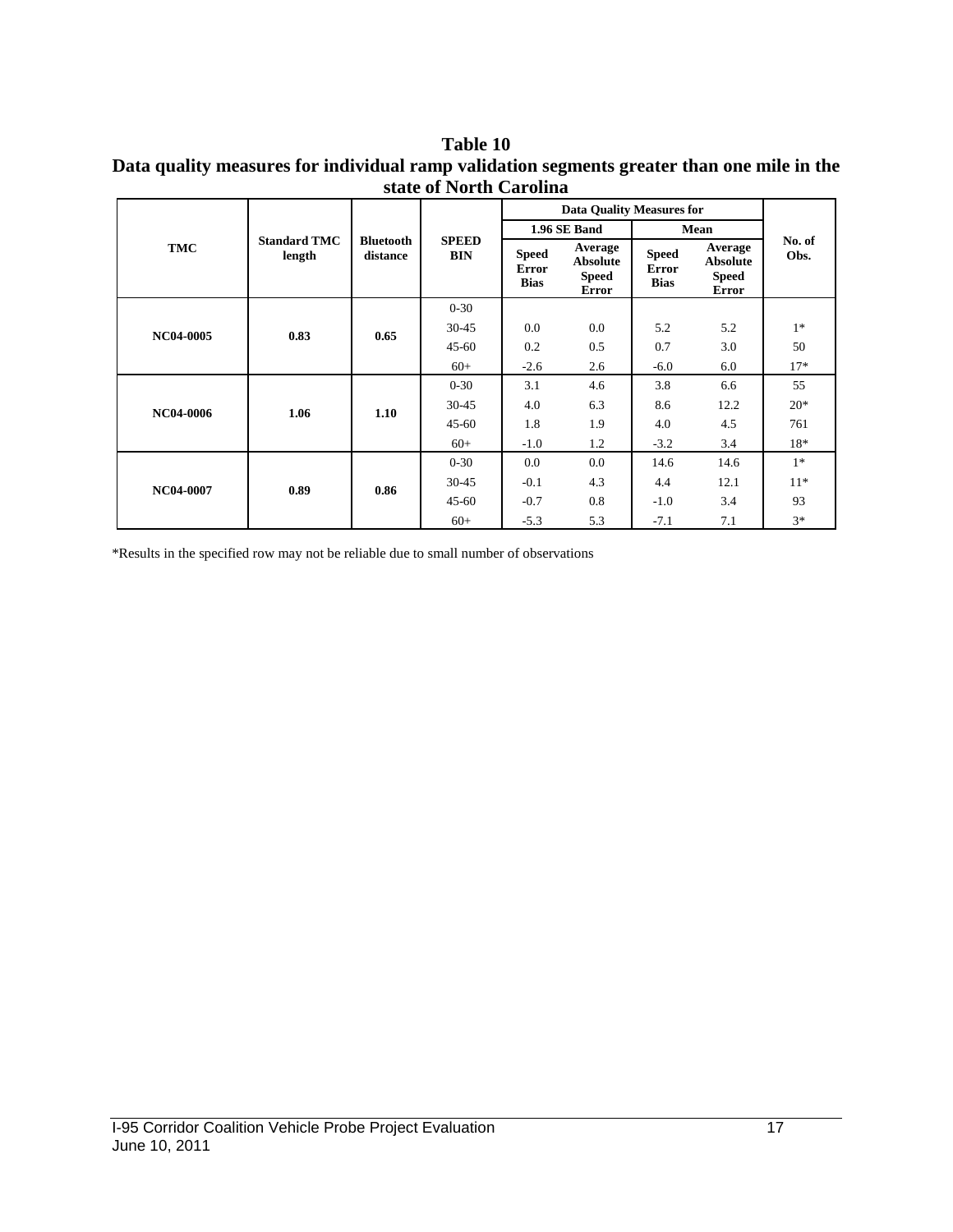#### **Table 10 Data quality measures for individual ramp validation segments greater than one mile in the state of North Carolina**

|            | <b>Standard TMC</b><br>length | <b>Bluetooth</b><br>distance | <b>SPEED</b><br><b>BIN</b> | <b>Data Quality Measures for</b>            |                                                            |                                             |                                                            |                |
|------------|-------------------------------|------------------------------|----------------------------|---------------------------------------------|------------------------------------------------------------|---------------------------------------------|------------------------------------------------------------|----------------|
|            |                               |                              |                            | 1.96 SE Band                                |                                                            | Mean                                        |                                                            |                |
| <b>TMC</b> |                               |                              |                            | <b>Speed</b><br><b>Error</b><br><b>Bias</b> | Average<br><b>Absolute</b><br><b>Speed</b><br><b>Error</b> | <b>Speed</b><br><b>Error</b><br><b>Bias</b> | Average<br><b>Absolute</b><br><b>Speed</b><br><b>Error</b> | No. of<br>Obs. |
|            | 0.83                          | 0.65                         | $0 - 30$                   |                                             |                                                            |                                             |                                                            |                |
| NC04-0005  |                               |                              | $30 - 45$                  | 0.0                                         | 0.0                                                        | 5.2                                         | 5.2                                                        | $1*$           |
|            |                               |                              | $45 - 60$                  | 0.2                                         | 0.5                                                        | 0.7                                         | 3.0                                                        | 50             |
|            |                               |                              | $60+$                      | $-2.6$                                      | 2.6                                                        | $-6.0$                                      | 6.0                                                        | $17*$          |
|            | 1.06                          | 1.10                         | $0 - 30$                   | 3.1                                         | 4.6                                                        | 3.8                                         | 6.6                                                        | 55             |
| NC04-0006  |                               |                              | $30 - 45$                  | 4.0                                         | 6.3                                                        | 8.6                                         | 12.2                                                       | $20*$          |
|            |                               |                              | $45 - 60$                  | 1.8                                         | 1.9                                                        | 4.0                                         | 4.5                                                        | 761            |
|            |                               |                              | $60+$                      | $-1.0$                                      | 1.2                                                        | $-3.2$                                      | 3.4                                                        | 18*            |
|            |                               | 0.86                         | $0 - 30$                   | 0.0                                         | 0.0                                                        | 14.6                                        | 14.6                                                       | $1*$           |
| NC04-0007  | 0.89                          |                              | $30 - 45$                  | $-0.1$                                      | 4.3                                                        | 4.4                                         | 12.1                                                       | $11*$          |
|            |                               |                              | $45 - 60$                  | $-0.7$                                      | 0.8                                                        | $-1.0$                                      | 3.4                                                        | 93             |
|            |                               |                              | $60+$                      | $-5.3$                                      | 5.3                                                        | $-7.1$                                      | 7.1                                                        | $3*$           |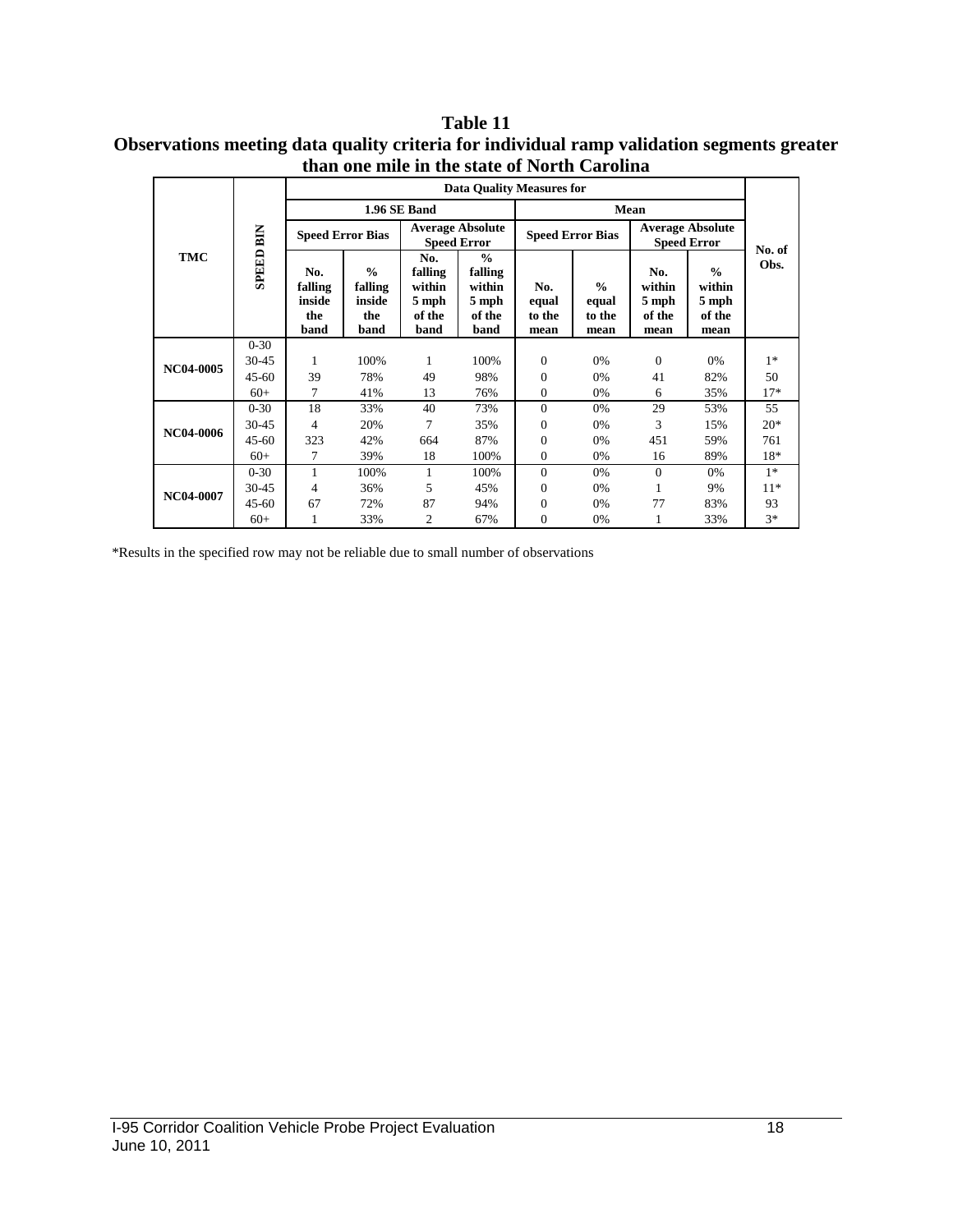**Table 11 Observations meeting data quality criteria for individual ramp validation segments greater than one mile in the state of North Carolina**

| <b>TMC</b> | <b>SPEED BIN</b> | <b>Data Quality Measures for</b>        |                                                   |                                                     |                                                               |                                |                                          |                                               |                                                    |        |
|------------|------------------|-----------------------------------------|---------------------------------------------------|-----------------------------------------------------|---------------------------------------------------------------|--------------------------------|------------------------------------------|-----------------------------------------------|----------------------------------------------------|--------|
|            |                  | 1.96 SE Band                            |                                                   |                                                     |                                                               | Mean                           |                                          |                                               |                                                    |        |
|            |                  | <b>Speed Error Bias</b>                 |                                                   | <b>Average Absolute</b><br><b>Speed Error</b>       |                                                               | <b>Speed Error Bias</b>        |                                          | <b>Average Absolute</b><br><b>Speed Error</b> |                                                    | No. of |
|            |                  | No.<br>falling<br>inside<br>the<br>band | $\frac{0}{0}$<br>falling<br>inside<br>the<br>band | No.<br>falling<br>within<br>5 mph<br>of the<br>band | $\frac{0}{0}$<br>falling<br>within<br>5 mph<br>of the<br>band | No.<br>equal<br>to the<br>mean | $\frac{0}{0}$<br>equal<br>to the<br>mean | No.<br>within<br>5 mph<br>of the<br>mean      | $\frac{0}{0}$<br>within<br>5 mph<br>of the<br>mean | Obs.   |
| NC04-0005  | $0 - 30$         |                                         |                                                   |                                                     |                                                               |                                |                                          |                                               |                                                    |        |
|            | 30-45            | 1                                       | 100%                                              | 1                                                   | 100%                                                          | $\overline{0}$                 | 0%                                       | $\overline{0}$                                | 0%                                                 | $1*$   |
|            | $45 - 60$        | 39                                      | 78%                                               | 49                                                  | 98%                                                           | $\Omega$                       | 0%                                       | 41                                            | 82%                                                | 50     |
|            | $60+$            | 7                                       | 41%                                               | 13                                                  | 76%                                                           | $\Omega$                       | 0%                                       | 6                                             | 35%                                                | $17*$  |
| NC04-0006  | $0 - 30$         | 18                                      | 33%                                               | 40                                                  | 73%                                                           | $\overline{0}$                 | 0%                                       | 29                                            | 53%                                                | 55     |
|            | $30 - 45$        | 4                                       | 20%                                               | 7                                                   | 35%                                                           | 0                              | 0%                                       | 3                                             | 15%                                                | $20*$  |
|            | $45 - 60$        | 323                                     | 42%                                               | 664                                                 | 87%                                                           | $\theta$                       | 0%                                       | 451                                           | 59%                                                | 761    |
|            | $60+$            | 7                                       | 39%                                               | 18                                                  | 100%                                                          | 0                              | 0%                                       | 16                                            | 89%                                                | 18*    |
| NC04-0007  | $0 - 30$         |                                         | 100%                                              | 1                                                   | 100%                                                          | $\theta$                       | 0%                                       | $\Omega$                                      | 0%                                                 | $1*$   |
|            | 30-45            | 4                                       | 36%                                               | 5                                                   | 45%                                                           | 0                              | 0%                                       | 1                                             | 9%                                                 | $11*$  |
|            | $45 - 60$        | 67                                      | 72%                                               | 87                                                  | 94%                                                           | $\Omega$                       | 0%                                       | 77                                            | 83%                                                | 93     |
|            | $60+$            |                                         | 33%                                               | $\overline{c}$                                      | 67%                                                           | $\Omega$                       | 0%                                       | 1                                             | 33%                                                | $3*$   |